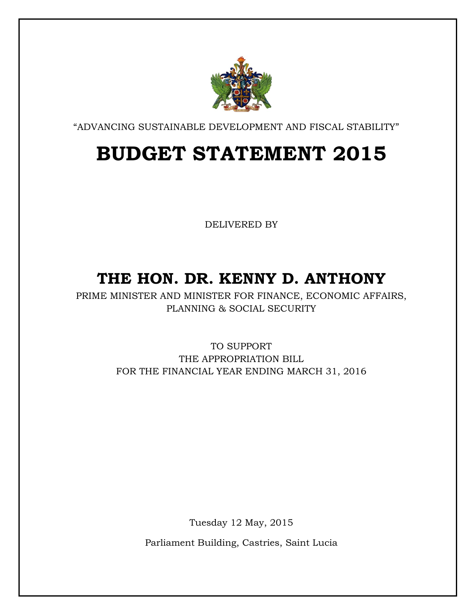

"ADVANCING SUSTAINABLE DEVELOPMENT AND FISCAL STABILITY"

# **BUDGET STATEMENT 2015**

DELIVERED BY

# **THE HON. DR. KENNY D. ANTHONY**

PRIME MINISTER AND MINISTER FOR FINANCE, ECONOMIC AFFAIRS, PLANNING & SOCIAL SECURITY

> TO SUPPORT THE APPROPRIATION BILL FOR THE FINANCIAL YEAR ENDING MARCH 31, 2016

> > Tuesday 12 May, 2015

Parliament Building, Castries, Saint Lucia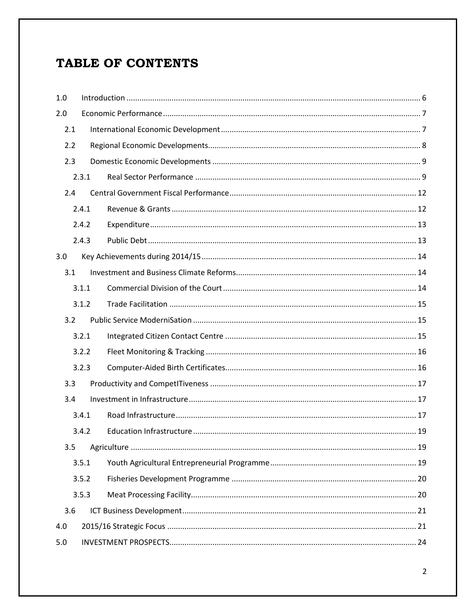### TABLE OF CONTENTS

| 1.0   |       |  |  |  |
|-------|-------|--|--|--|
| 2.0   |       |  |  |  |
| 2.1   |       |  |  |  |
| 2.2   |       |  |  |  |
| 2.3   |       |  |  |  |
|       | 2.3.1 |  |  |  |
| 2.4   |       |  |  |  |
|       | 2.4.1 |  |  |  |
|       | 2.4.2 |  |  |  |
|       | 2.4.3 |  |  |  |
| 3.0   |       |  |  |  |
| 3.1   |       |  |  |  |
|       | 3.1.1 |  |  |  |
|       | 3.1.2 |  |  |  |
| 3.2   |       |  |  |  |
|       | 3.2.1 |  |  |  |
|       | 3.2.2 |  |  |  |
|       | 3.2.3 |  |  |  |
| 3.3   |       |  |  |  |
| 3.4   |       |  |  |  |
|       | 3.4.1 |  |  |  |
|       | 3.4.2 |  |  |  |
| 3.5   |       |  |  |  |
|       | 3.5.1 |  |  |  |
| 3.5.2 |       |  |  |  |
| 3.5.3 |       |  |  |  |
| 3.6   |       |  |  |  |
| 4.0   |       |  |  |  |
| 5.0   |       |  |  |  |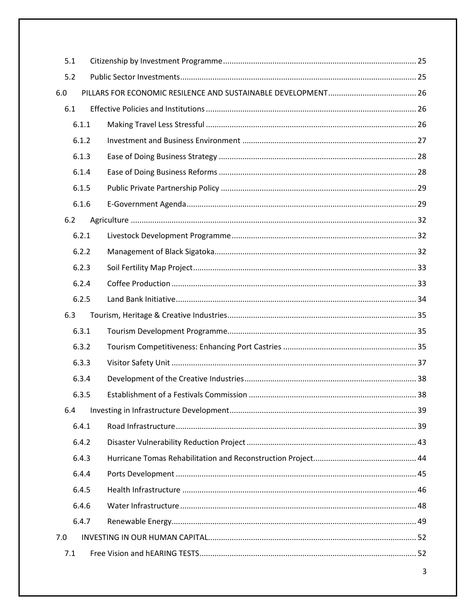| 5.1 |       |  |
|-----|-------|--|
| 5.2 |       |  |
| 6.0 |       |  |
| 6.1 |       |  |
|     | 6.1.1 |  |
|     | 6.1.2 |  |
|     | 6.1.3 |  |
|     | 6.1.4 |  |
|     | 6.1.5 |  |
|     | 6.1.6 |  |
| 6.2 |       |  |
|     | 6.2.1 |  |
|     | 6.2.2 |  |
|     | 6.2.3 |  |
|     | 6.2.4 |  |
|     | 6.2.5 |  |
| 6.3 |       |  |
|     | 6.3.1 |  |
|     | 6.3.2 |  |
|     | 6.3.3 |  |
|     | 6.3.4 |  |
|     | 6.3.5 |  |
| 6.4 |       |  |
|     | 6.4.1 |  |
|     | 6.4.2 |  |
|     | 6.4.3 |  |
|     | 6.4.4 |  |
|     | 6.4.5 |  |
|     | 6.4.6 |  |
|     | 6.4.7 |  |
| 7.0 |       |  |
| 7.1 |       |  |

 $\overline{\mathbf{3}}$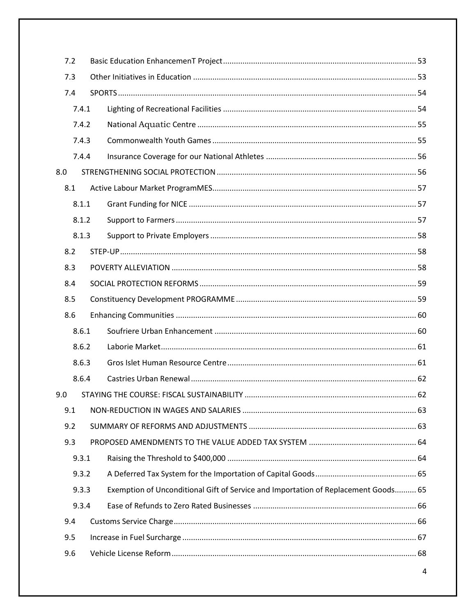| 7.2   |       |                                                                                    |  |
|-------|-------|------------------------------------------------------------------------------------|--|
| 7.3   |       |                                                                                    |  |
| 7.4   |       |                                                                                    |  |
|       | 7.4.1 |                                                                                    |  |
|       | 7.4.2 |                                                                                    |  |
|       | 7.4.3 |                                                                                    |  |
|       | 7.4.4 |                                                                                    |  |
| 8.0   |       |                                                                                    |  |
| 8.1   |       |                                                                                    |  |
|       | 8.1.1 |                                                                                    |  |
|       | 8.1.2 |                                                                                    |  |
|       | 8.1.3 |                                                                                    |  |
| 8.2   |       |                                                                                    |  |
| 8.3   |       |                                                                                    |  |
| 8.4   |       |                                                                                    |  |
| 8.5   |       |                                                                                    |  |
| 8.6   |       |                                                                                    |  |
|       | 8.6.1 |                                                                                    |  |
|       | 8.6.2 |                                                                                    |  |
|       | 8.6.3 |                                                                                    |  |
|       | 8.6.4 |                                                                                    |  |
| 9.0   |       |                                                                                    |  |
| 9.1   |       |                                                                                    |  |
| 9.2   |       |                                                                                    |  |
| 9.3   |       |                                                                                    |  |
|       | 9.3.1 |                                                                                    |  |
|       | 9.3.2 |                                                                                    |  |
| 9.3.3 |       | Exemption of Unconditional Gift of Service and Importation of Replacement Goods 65 |  |
| 9.3.4 |       |                                                                                    |  |
| 9.4   |       |                                                                                    |  |
| 9.5   |       |                                                                                    |  |
| 9.6   |       |                                                                                    |  |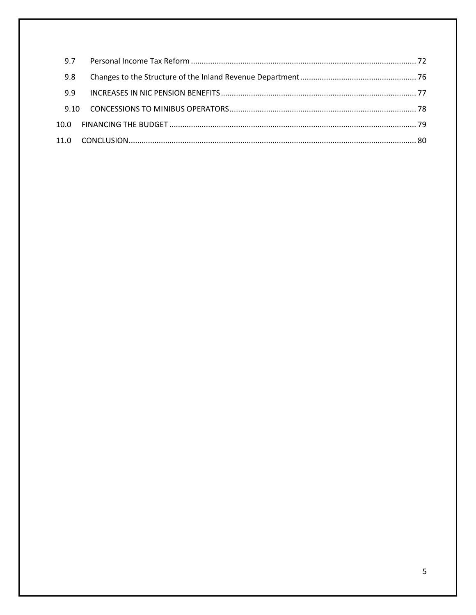| 9.7  |  |
|------|--|
| 9.8  |  |
| 9.9  |  |
| 9.10 |  |
|      |  |
|      |  |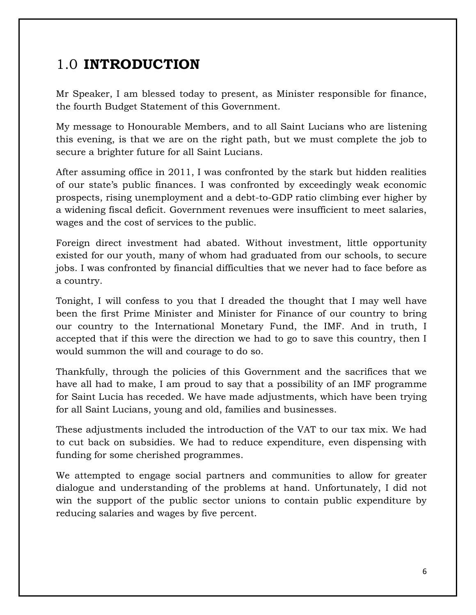## <span id="page-5-0"></span>1.0 **INTRODUCTION**

Mr Speaker, I am blessed today to present, as Minister responsible for finance, the fourth Budget Statement of this Government.

My message to Honourable Members, and to all Saint Lucians who are listening this evening, is that we are on the right path, but we must complete the job to secure a brighter future for all Saint Lucians.

After assuming office in 2011, I was confronted by the stark but hidden realities of our state's public finances. I was confronted by exceedingly weak economic prospects, rising unemployment and a debt-to-GDP ratio climbing ever higher by a widening fiscal deficit. Government revenues were insufficient to meet salaries, wages and the cost of services to the public.

Foreign direct investment had abated. Without investment, little opportunity existed for our youth, many of whom had graduated from our schools, to secure jobs. I was confronted by financial difficulties that we never had to face before as a country.

Tonight, I will confess to you that I dreaded the thought that I may well have been the first Prime Minister and Minister for Finance of our country to bring our country to the International Monetary Fund, the IMF. And in truth, I accepted that if this were the direction we had to go to save this country, then I would summon the will and courage to do so.

Thankfully, through the policies of this Government and the sacrifices that we have all had to make, I am proud to say that a possibility of an IMF programme for Saint Lucia has receded. We have made adjustments, which have been trying for all Saint Lucians, young and old, families and businesses.

These adjustments included the introduction of the VAT to our tax mix. We had to cut back on subsidies. We had to reduce expenditure, even dispensing with funding for some cherished programmes.

We attempted to engage social partners and communities to allow for greater dialogue and understanding of the problems at hand. Unfortunately, I did not win the support of the public sector unions to contain public expenditure by reducing salaries and wages by five percent.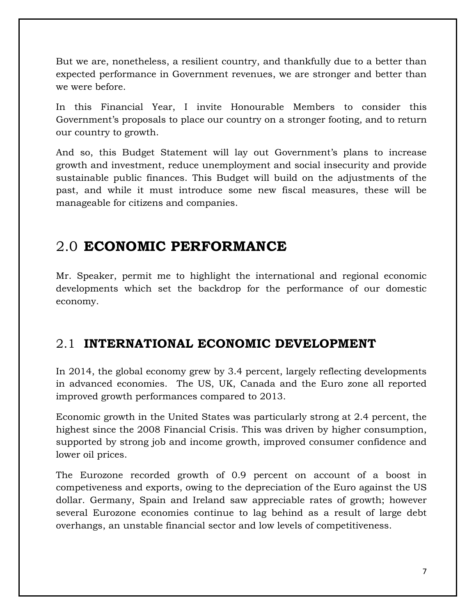But we are, nonetheless, a resilient country, and thankfully due to a better than expected performance in Government revenues, we are stronger and better than we were before.

In this Financial Year, I invite Honourable Members to consider this Government's proposals to place our country on a stronger footing, and to return our country to growth.

And so, this Budget Statement will lay out Government's plans to increase growth and investment, reduce unemployment and social insecurity and provide sustainable public finances. This Budget will build on the adjustments of the past, and while it must introduce some new fiscal measures, these will be manageable for citizens and companies.

### <span id="page-6-0"></span>2.0 **ECONOMIC PERFORMANCE**

Mr. Speaker, permit me to highlight the international and regional economic developments which set the backdrop for the performance of our domestic economy.

### <span id="page-6-1"></span>2.1 **INTERNATIONAL ECONOMIC DEVELOPMENT**

In 2014, the global economy grew by 3.4 percent, largely reflecting developments in advanced economies. The US, UK, Canada and the Euro zone all reported improved growth performances compared to 2013.

Economic growth in the United States was particularly strong at 2.4 percent, the highest since the 2008 Financial Crisis. This was driven by higher consumption, supported by strong job and income growth, improved consumer confidence and lower oil prices.

The Eurozone recorded growth of 0.9 percent on account of a boost in competiveness and exports, owing to the depreciation of the Euro against the US dollar. Germany, Spain and Ireland saw appreciable rates of growth; however several Eurozone economies continue to lag behind as a result of large debt overhangs, an unstable financial sector and low levels of competitiveness.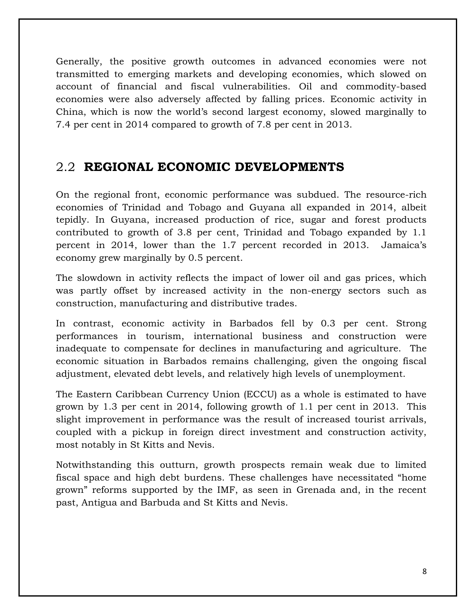Generally, the positive growth outcomes in advanced economies were not transmitted to emerging markets and developing economies, which slowed on account of financial and fiscal vulnerabilities. Oil and commodity-based economies were also adversely affected by falling prices. Economic activity in China, which is now the world's second largest economy, slowed marginally to 7.4 per cent in 2014 compared to growth of 7.8 per cent in 2013.

#### <span id="page-7-0"></span>2.2 **REGIONAL ECONOMIC DEVELOPMENTS**

On the regional front, economic performance was subdued. The resource-rich economies of Trinidad and Tobago and Guyana all expanded in 2014, albeit tepidly. In Guyana, increased production of rice, sugar and forest products contributed to growth of 3.8 per cent, Trinidad and Tobago expanded by 1.1 percent in 2014, lower than the 1.7 percent recorded in 2013. Jamaica's economy grew marginally by 0.5 percent.

The slowdown in activity reflects the impact of lower oil and gas prices, which was partly offset by increased activity in the non-energy sectors such as construction, manufacturing and distributive trades.

In contrast, economic activity in Barbados fell by 0.3 per cent. Strong performances in tourism, international business and construction were inadequate to compensate for declines in manufacturing and agriculture. The economic situation in Barbados remains challenging, given the ongoing fiscal adjustment, elevated debt levels, and relatively high levels of unemployment.

The Eastern Caribbean Currency Union (ECCU) as a whole is estimated to have grown by 1.3 per cent in 2014, following growth of 1.1 per cent in 2013. This slight improvement in performance was the result of increased tourist arrivals, coupled with a pickup in foreign direct investment and construction activity, most notably in St Kitts and Nevis.

Notwithstanding this outturn, growth prospects remain weak due to limited fiscal space and high debt burdens. These challenges have necessitated "home grown" reforms supported by the IMF, as seen in Grenada and, in the recent past, Antigua and Barbuda and St Kitts and Nevis.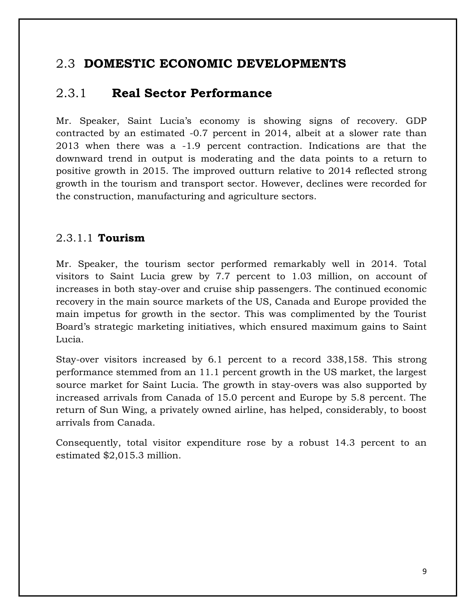### <span id="page-8-0"></span>2.3 **DOMESTIC ECONOMIC DEVELOPMENTS**

### <span id="page-8-1"></span>2.3.1 **Real Sector Performance**

Mr. Speaker, Saint Lucia's economy is showing signs of recovery. GDP contracted by an estimated -0.7 percent in 2014, albeit at a slower rate than 2013 when there was a -1.9 percent contraction. Indications are that the downward trend in output is moderating and the data points to a return to positive growth in 2015. The improved outturn relative to 2014 reflected strong growth in the tourism and transport sector. However, declines were recorded for the construction, manufacturing and agriculture sectors.

#### 2.3.1.1 **Tourism**

Mr. Speaker, the tourism sector performed remarkably well in 2014. Total visitors to Saint Lucia grew by 7.7 percent to 1.03 million, on account of increases in both stay-over and cruise ship passengers. The continued economic recovery in the main source markets of the US, Canada and Europe provided the main impetus for growth in the sector. This was complimented by the Tourist Board's strategic marketing initiatives, which ensured maximum gains to Saint Lucia.

Stay-over visitors increased by 6.1 percent to a record 338,158. This strong performance stemmed from an 11.1 percent growth in the US market, the largest source market for Saint Lucia. The growth in stay-overs was also supported by increased arrivals from Canada of 15.0 percent and Europe by 5.8 percent. The return of Sun Wing, a privately owned airline, has helped, considerably, to boost arrivals from Canada.

Consequently, total visitor expenditure rose by a robust 14.3 percent to an estimated \$2,015.3 million.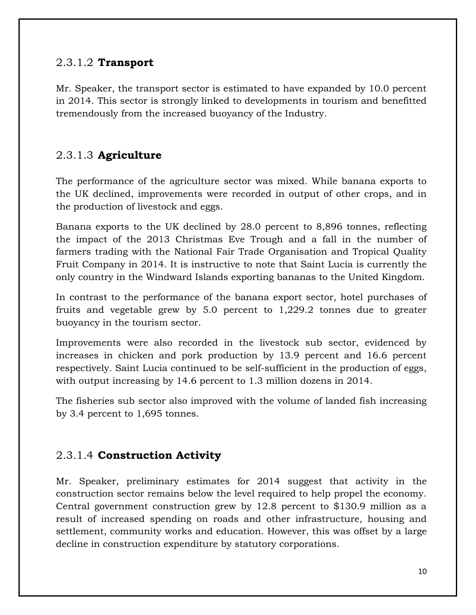#### 2.3.1.2 **Transport**

Mr. Speaker, the transport sector is estimated to have expanded by 10.0 percent in 2014. This sector is strongly linked to developments in tourism and benefitted tremendously from the increased buoyancy of the Industry.

#### 2.3.1.3 **Agriculture**

The performance of the agriculture sector was mixed. While banana exports to the UK declined, improvements were recorded in output of other crops, and in the production of livestock and eggs.

Banana exports to the UK declined by 28.0 percent to 8,896 tonnes, reflecting the impact of the 2013 Christmas Eve Trough and a fall in the number of farmers trading with the National Fair Trade Organisation and Tropical Quality Fruit Company in 2014. It is instructive to note that Saint Lucia is currently the only country in the Windward Islands exporting bananas to the United Kingdom.

In contrast to the performance of the banana export sector, hotel purchases of fruits and vegetable grew by 5.0 percent to 1,229.2 tonnes due to greater buoyancy in the tourism sector.

Improvements were also recorded in the livestock sub sector, evidenced by increases in chicken and pork production by 13.9 percent and 16.6 percent respectively. Saint Lucia continued to be self-sufficient in the production of eggs, with output increasing by 14.6 percent to 1.3 million dozens in 2014.

The fisheries sub sector also improved with the volume of landed fish increasing by 3.4 percent to 1,695 tonnes.

#### 2.3.1.4 **Construction Activity**

Mr. Speaker, preliminary estimates for 2014 suggest that activity in the construction sector remains below the level required to help propel the economy. Central government construction grew by 12.8 percent to \$130.9 million as a result of increased spending on roads and other infrastructure, housing and settlement, community works and education. However, this was offset by a large decline in construction expenditure by statutory corporations.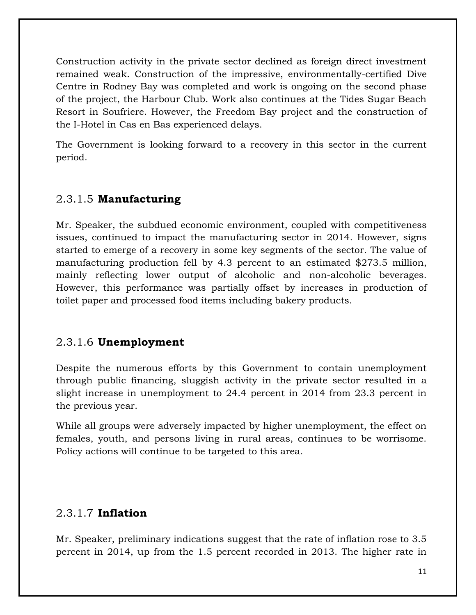Construction activity in the private sector declined as foreign direct investment remained weak. Construction of the impressive, environmentally-certified Dive Centre in Rodney Bay was completed and work is ongoing on the second phase of the project, the Harbour Club. Work also continues at the Tides Sugar Beach Resort in Soufriere. However, the Freedom Bay project and the construction of the I-Hotel in Cas en Bas experienced delays.

The Government is looking forward to a recovery in this sector in the current period.

#### 2.3.1.5 **Manufacturing**

Mr. Speaker, the subdued economic environment, coupled with competitiveness issues, continued to impact the manufacturing sector in 2014. However, signs started to emerge of a recovery in some key segments of the sector. The value of manufacturing production fell by 4.3 percent to an estimated \$273.5 million, mainly reflecting lower output of alcoholic and non-alcoholic beverages. However, this performance was partially offset by increases in production of toilet paper and processed food items including bakery products.

#### 2.3.1.6 **Unemployment**

Despite the numerous efforts by this Government to contain unemployment through public financing, sluggish activity in the private sector resulted in a slight increase in unemployment to 24.4 percent in 2014 from 23.3 percent in the previous year.

While all groups were adversely impacted by higher unemployment, the effect on females, youth, and persons living in rural areas, continues to be worrisome. Policy actions will continue to be targeted to this area.

#### 2.3.1.7 **Inflation**

Mr. Speaker, preliminary indications suggest that the rate of inflation rose to 3.5 percent in 2014, up from the 1.5 percent recorded in 2013. The higher rate in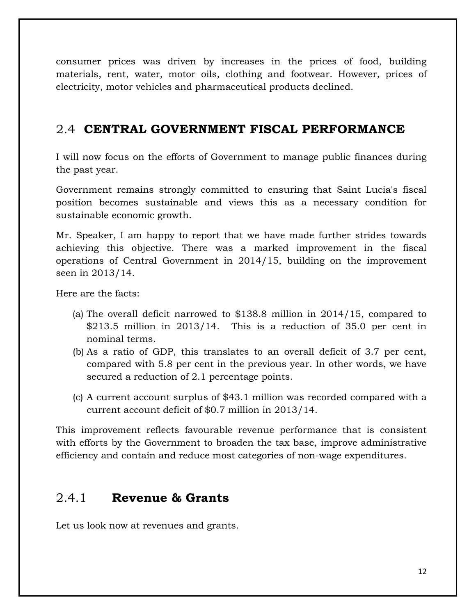consumer prices was driven by increases in the prices of food, building materials, rent, water, motor oils, clothing and footwear. However, prices of electricity, motor vehicles and pharmaceutical products declined.

#### <span id="page-11-0"></span>2.4 **CENTRAL GOVERNMENT FISCAL PERFORMANCE**

I will now focus on the efforts of Government to manage public finances during the past year.

Government remains strongly committed to ensuring that Saint Lucia's fiscal position becomes sustainable and views this as a necessary condition for sustainable economic growth.

Mr. Speaker, I am happy to report that we have made further strides towards achieving this objective. There was a marked improvement in the fiscal operations of Central Government in 2014/15, building on the improvement seen in 2013/14.

Here are the facts:

- (a) The overall deficit narrowed to \$138.8 million in 2014/15, compared to \$213.5 million in 2013/14. This is a reduction of 35.0 per cent in nominal terms.
- (b) As a ratio of GDP, this translates to an overall deficit of 3.7 per cent, compared with 5.8 per cent in the previous year. In other words, we have secured a reduction of 2.1 percentage points.
- (c) A current account surplus of \$43.1 million was recorded compared with a current account deficit of \$0.7 million in 2013/14.

This improvement reflects favourable revenue performance that is consistent with efforts by the Government to broaden the tax base, improve administrative efficiency and contain and reduce most categories of non-wage expenditures.

#### <span id="page-11-1"></span>2.4.1 **Revenue & Grants**

Let us look now at revenues and grants.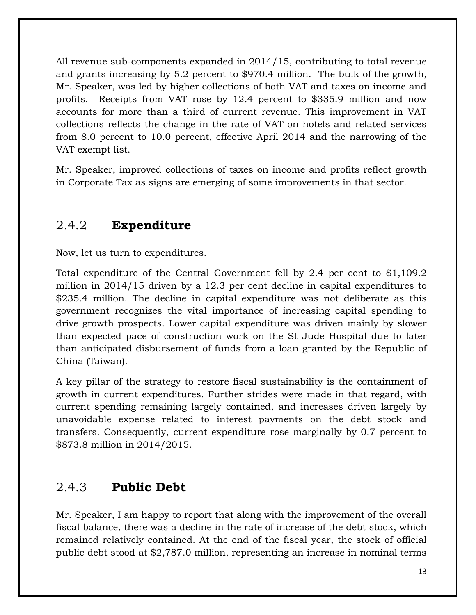All revenue sub-components expanded in 2014/15, contributing to total revenue and grants increasing by 5.2 percent to \$970.4 million. The bulk of the growth, Mr. Speaker, was led by higher collections of both VAT and taxes on income and profits. Receipts from VAT rose by 12.4 percent to \$335.9 million and now accounts for more than a third of current revenue. This improvement in VAT collections reflects the change in the rate of VAT on hotels and related services from 8.0 percent to 10.0 percent, effective April 2014 and the narrowing of the VAT exempt list.

Mr. Speaker, improved collections of taxes on income and profits reflect growth in Corporate Tax as signs are emerging of some improvements in that sector.

### <span id="page-12-0"></span>2.4.2 **Expenditure**

Now, let us turn to expenditures.

Total expenditure of the Central Government fell by 2.4 per cent to \$1,109.2 million in 2014/15 driven by a 12.3 per cent decline in capital expenditures to \$235.4 million. The decline in capital expenditure was not deliberate as this government recognizes the vital importance of increasing capital spending to drive growth prospects. Lower capital expenditure was driven mainly by slower than expected pace of construction work on the St Jude Hospital due to later than anticipated disbursement of funds from a loan granted by the Republic of China (Taiwan).

A key pillar of the strategy to restore fiscal sustainability is the containment of growth in current expenditures. Further strides were made in that regard, with current spending remaining largely contained, and increases driven largely by unavoidable expense related to interest payments on the debt stock and transfers. Consequently, current expenditure rose marginally by 0.7 percent to \$873.8 million in 2014/2015.

### <span id="page-12-1"></span>2.4.3 **Public Debt**

Mr. Speaker, I am happy to report that along with the improvement of the overall fiscal balance, there was a decline in the rate of increase of the debt stock, which remained relatively contained. At the end of the fiscal year, the stock of official public debt stood at \$2,787.0 million, representing an increase in nominal terms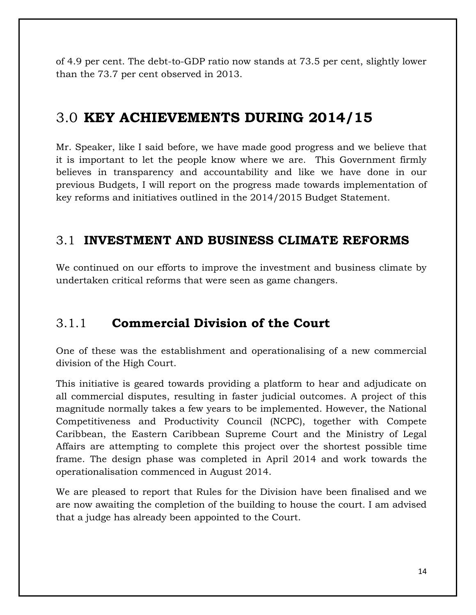of 4.9 per cent. The debt-to-GDP ratio now stands at 73.5 per cent, slightly lower than the 73.7 per cent observed in 2013.

### <span id="page-13-0"></span>3.0 **KEY ACHIEVEMENTS DURING 2014/15**

Mr. Speaker, like I said before, we have made good progress and we believe that it is important to let the people know where we are. This Government firmly believes in transparency and accountability and like we have done in our previous Budgets, I will report on the progress made towards implementation of key reforms and initiatives outlined in the 2014/2015 Budget Statement.

#### <span id="page-13-1"></span>3.1 **INVESTMENT AND BUSINESS CLIMATE REFORMS**

We continued on our efforts to improve the investment and business climate by undertaken critical reforms that were seen as game changers.

#### <span id="page-13-2"></span>3.1.1 **Commercial Division of the Court**

One of these was the establishment and operationalising of a new commercial division of the High Court.

This initiative is geared towards providing a platform to hear and adjudicate on all commercial disputes, resulting in faster judicial outcomes. A project of this magnitude normally takes a few years to be implemented. However, the National Competitiveness and Productivity Council (NCPC), together with Compete Caribbean, the Eastern Caribbean Supreme Court and the Ministry of Legal Affairs are attempting to complete this project over the shortest possible time frame. The design phase was completed in April 2014 and work towards the operationalisation commenced in August 2014.

We are pleased to report that Rules for the Division have been finalised and we are now awaiting the completion of the building to house the court. I am advised that a judge has already been appointed to the Court.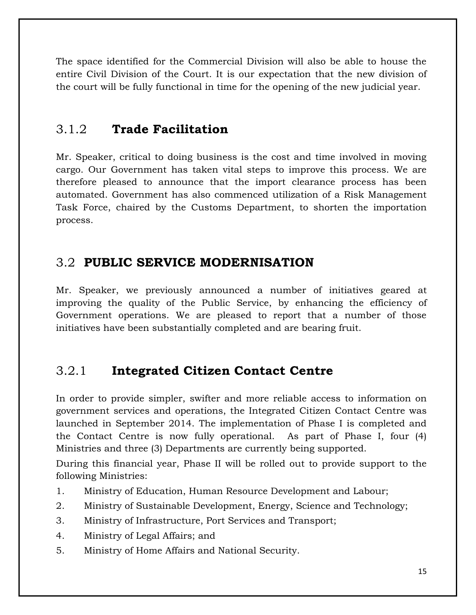The space identified for the Commercial Division will also be able to house the entire Civil Division of the Court. It is our expectation that the new division of the court will be fully functional in time for the opening of the new judicial year.

### <span id="page-14-0"></span>3.1.2 **Trade Facilitation**

Mr. Speaker, critical to doing business is the cost and time involved in moving cargo. Our Government has taken vital steps to improve this process. We are therefore pleased to announce that the import clearance process has been automated. Government has also commenced utilization of a Risk Management Task Force, chaired by the Customs Department, to shorten the importation process.

### <span id="page-14-1"></span>3.2 **PUBLIC SERVICE MODERNISATION**

Mr. Speaker, we previously announced a number of initiatives geared at improving the quality of the Public Service, by enhancing the efficiency of Government operations. We are pleased to report that a number of those initiatives have been substantially completed and are bearing fruit.

### <span id="page-14-2"></span>3.2.1 **Integrated Citizen Contact Centre**

In order to provide simpler, swifter and more reliable access to information on government services and operations, the Integrated Citizen Contact Centre was launched in September 2014. The implementation of Phase I is completed and the Contact Centre is now fully operational. As part of Phase I, four (4) Ministries and three (3) Departments are currently being supported.

During this financial year, Phase II will be rolled out to provide support to the following Ministries:

- 1. Ministry of Education, Human Resource Development and Labour;
- 2. Ministry of Sustainable Development, Energy, Science and Technology;
- 3. Ministry of Infrastructure, Port Services and Transport;
- 4. Ministry of Legal Affairs; and
- 5. Ministry of Home Affairs and National Security.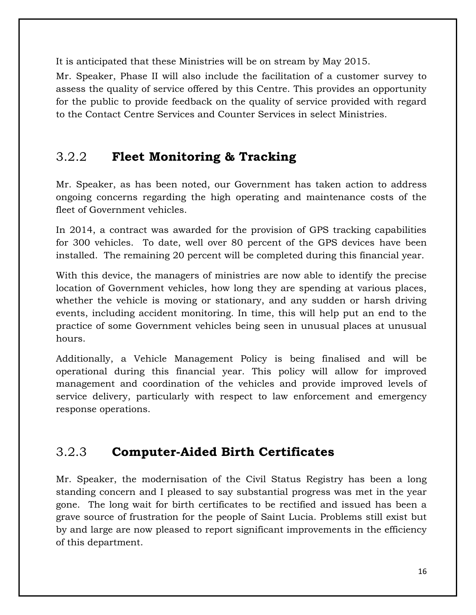It is anticipated that these Ministries will be on stream by May 2015.

Mr. Speaker, Phase II will also include the facilitation of a customer survey to assess the quality of service offered by this Centre. This provides an opportunity for the public to provide feedback on the quality of service provided with regard to the Contact Centre Services and Counter Services in select Ministries.

### <span id="page-15-0"></span>3.2.2 **Fleet Monitoring & Tracking**

Mr. Speaker, as has been noted, our Government has taken action to address ongoing concerns regarding the high operating and maintenance costs of the fleet of Government vehicles.

In 2014, a contract was awarded for the provision of GPS tracking capabilities for 300 vehicles. To date, well over 80 percent of the GPS devices have been installed. The remaining 20 percent will be completed during this financial year.

With this device, the managers of ministries are now able to identify the precise location of Government vehicles, how long they are spending at various places, whether the vehicle is moving or stationary, and any sudden or harsh driving events, including accident monitoring. In time, this will help put an end to the practice of some Government vehicles being seen in unusual places at unusual hours.

Additionally, a Vehicle Management Policy is being finalised and will be operational during this financial year. This policy will allow for improved management and coordination of the vehicles and provide improved levels of service delivery, particularly with respect to law enforcement and emergency response operations.

### <span id="page-15-1"></span>3.2.3 **Computer-Aided Birth Certificates**

Mr. Speaker, the modernisation of the Civil Status Registry has been a long standing concern and I pleased to say substantial progress was met in the year gone. The long wait for birth certificates to be rectified and issued has been a grave source of frustration for the people of Saint Lucia. Problems still exist but by and large are now pleased to report significant improvements in the efficiency of this department.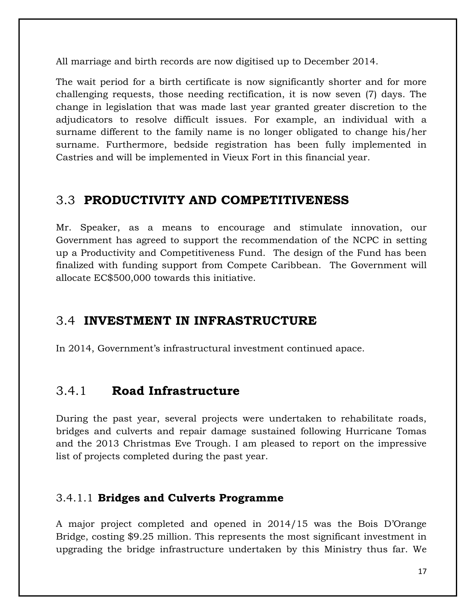All marriage and birth records are now digitised up to December 2014.

The wait period for a birth certificate is now significantly shorter and for more challenging requests, those needing rectification, it is now seven (7) days. The change in legislation that was made last year granted greater discretion to the adjudicators to resolve difficult issues. For example, an individual with a surname different to the family name is no longer obligated to change his/her surname. Furthermore, bedside registration has been fully implemented in Castries and will be implemented in Vieux Fort in this financial year.

#### <span id="page-16-0"></span>3.3 **PRODUCTIVITY AND COMPETITIVENESS**

Mr. Speaker, as a means to encourage and stimulate innovation, our Government has agreed to support the recommendation of the NCPC in setting up a Productivity and Competitiveness Fund. The design of the Fund has been finalized with funding support from Compete Caribbean. The Government will allocate EC\$500,000 towards this initiative.

#### <span id="page-16-1"></span>3.4 **INVESTMENT IN INFRASTRUCTURE**

In 2014, Government's infrastructural investment continued apace.

#### <span id="page-16-2"></span>3.4.1 **Road Infrastructure**

During the past year, several projects were undertaken to rehabilitate roads, bridges and culverts and repair damage sustained following Hurricane Tomas and the 2013 Christmas Eve Trough. I am pleased to report on the impressive list of projects completed during the past year.

#### 3.4.1.1 **Bridges and Culverts Programme**

A major project completed and opened in 2014/15 was the Bois D'Orange Bridge, costing \$9.25 million. This represents the most significant investment in upgrading the bridge infrastructure undertaken by this Ministry thus far. We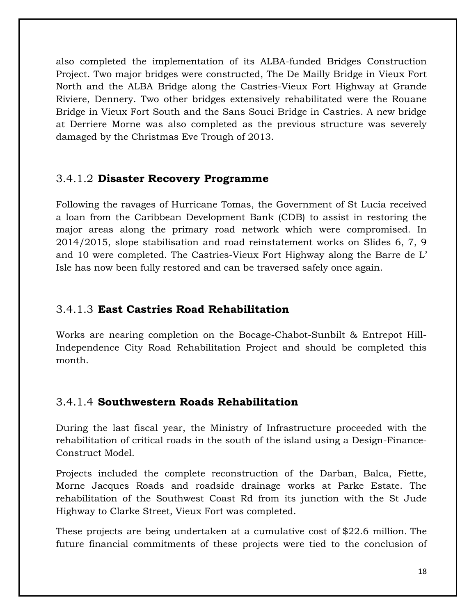also completed the implementation of its ALBA-funded Bridges Construction Project. Two major bridges were constructed, The De Mailly Bridge in Vieux Fort North and the ALBA Bridge along the Castries-Vieux Fort Highway at Grande Riviere, Dennery. Two other bridges extensively rehabilitated were the Rouane Bridge in Vieux Fort South and the Sans Souci Bridge in Castries. A new bridge at Derriere Morne was also completed as the previous structure was severely damaged by the Christmas Eve Trough of 2013.

#### 3.4.1.2 **Disaster Recovery Programme**

Following the ravages of Hurricane Tomas, the Government of St Lucia received a loan from the Caribbean Development Bank (CDB) to assist in restoring the major areas along the primary road network which were compromised. In 2014/2015, slope stabilisation and road reinstatement works on Slides 6, 7, 9 and 10 were completed. The Castries-Vieux Fort Highway along the Barre de L' Isle has now been fully restored and can be traversed safely once again.

#### 3.4.1.3 **East Castries Road Rehabilitation**

Works are nearing completion on the Bocage-Chabot-Sunbilt & Entrepot Hill-Independence City Road Rehabilitation Project and should be completed this month.

#### 3.4.1.4 **Southwestern Roads Rehabilitation**

During the last fiscal year, the Ministry of Infrastructure proceeded with the rehabilitation of critical roads in the south of the island using a Design-Finance-Construct Model.

Projects included the complete reconstruction of the Darban, Balca, Fiette, Morne Jacques Roads and roadside drainage works at Parke Estate. The rehabilitation of the Southwest Coast Rd from its junction with the St Jude Highway to Clarke Street, Vieux Fort was completed.

These projects are being undertaken at a cumulative cost of \$22.6 million. The future financial commitments of these projects were tied to the conclusion of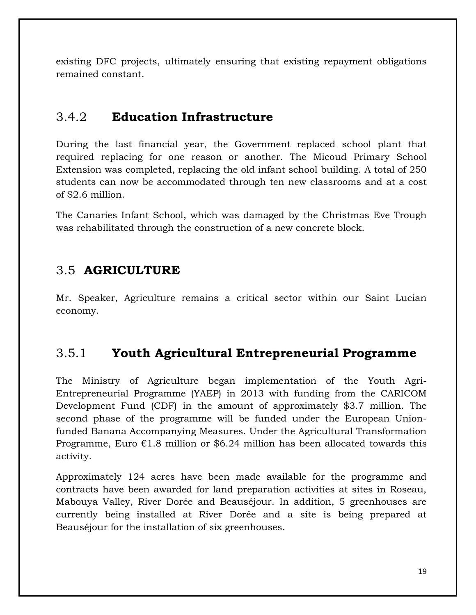existing DFC projects, ultimately ensuring that existing repayment obligations remained constant.

### <span id="page-18-0"></span>3.4.2 **Education Infrastructure**

During the last financial year, the Government replaced school plant that required replacing for one reason or another. The Micoud Primary School Extension was completed, replacing the old infant school building. A total of 250 students can now be accommodated through ten new classrooms and at a cost of \$2.6 million.

The Canaries Infant School, which was damaged by the Christmas Eve Trough was rehabilitated through the construction of a new concrete block.

### <span id="page-18-1"></span>3.5 **AGRICULTURE**

Mr. Speaker, Agriculture remains a critical sector within our Saint Lucian economy.

### <span id="page-18-2"></span>3.5.1 **Youth Agricultural Entrepreneurial Programme**

The Ministry of Agriculture began implementation of the Youth Agri-Entrepreneurial Programme (YAEP) in 2013 with funding from the CARICOM Development Fund (CDF) in the amount of approximately \$3.7 million. The second phase of the programme will be funded under the European Unionfunded Banana Accompanying Measures. Under the Agricultural Transformation Programme, Euro  $\epsilon$ 1.8 million or \$6.24 million has been allocated towards this activity.

Approximately 124 acres have been made available for the programme and contracts have been awarded for land preparation activities at sites in Roseau, Mabouya Valley, River Dorée and Beauséjour. In addition, 5 greenhouses are currently being installed at River Dorée and a site is being prepared at Beauséjour for the installation of six greenhouses.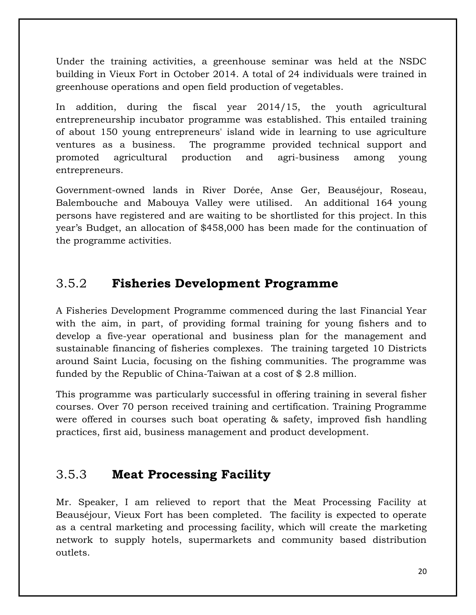Under the training activities, a greenhouse seminar was held at the NSDC building in Vieux Fort in October 2014. A total of 24 individuals were trained in greenhouse operations and open field production of vegetables.

In addition, during the fiscal year 2014/15, the youth agricultural entrepreneurship incubator programme was established. This entailed training of about 150 young entrepreneurs' island wide in learning to use agriculture ventures as a business. The programme provided technical support and promoted agricultural production and agri-business among young entrepreneurs.

Government-owned lands in River Dorée, Anse Ger, Beauséjour, Roseau, Balembouche and Mabouya Valley were utilised. An additional 164 young persons have registered and are waiting to be shortlisted for this project*.* In this year's Budget, an allocation of \$458,000 has been made for the continuation of the programme activities.

#### <span id="page-19-0"></span>3.5.2 **Fisheries Development Programme**

A Fisheries Development Programme commenced during the last Financial Year with the aim, in part, of providing formal training for young fishers and to develop a five-year operational and business plan for the management and sustainable financing of fisheries complexes. The training targeted 10 Districts around Saint Lucia, focusing on the fishing communities. The programme was funded by the Republic of China-Taiwan at a cost of \$ 2.8 million.

This programme was particularly successful in offering training in several fisher courses. Over 70 person received training and certification. Training Programme were offered in courses such boat operating & safety, improved fish handling practices, first aid, business management and product development.

#### <span id="page-19-1"></span>3.5.3 **Meat Processing Facility**

Mr. Speaker, I am relieved to report that the Meat Processing Facility at Beauséjour, Vieux Fort has been completed. The facility is expected to operate as a central marketing and processing facility, which will create the marketing network to supply hotels, supermarkets and community based distribution outlets.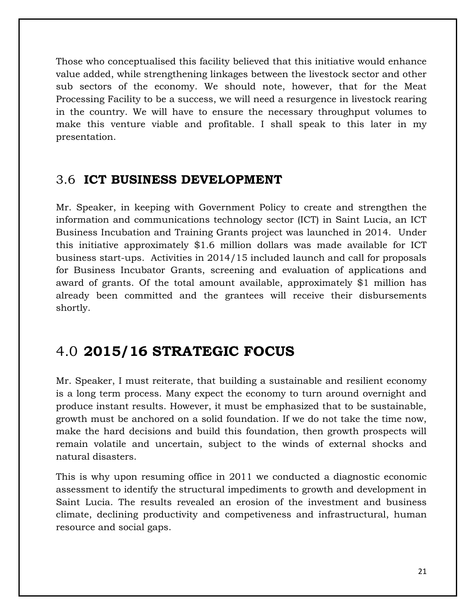Those who conceptualised this facility believed that this initiative would enhance value added, while strengthening linkages between the livestock sector and other sub sectors of the economy. We should note, however, that for the Meat Processing Facility to be a success, we will need a resurgence in livestock rearing in the country. We will have to ensure the necessary throughput volumes to make this venture viable and profitable. I shall speak to this later in my presentation.

#### <span id="page-20-0"></span>3.6 **ICT BUSINESS DEVELOPMENT**

Mr. Speaker, in keeping with Government Policy to create and strengthen the information and communications technology sector (ICT) in Saint Lucia, an ICT Business Incubation and Training Grants project was launched in 2014. Under this initiative approximately \$1.6 million dollars was made available for ICT business start-ups. Activities in 2014/15 included launch and call for proposals for Business Incubator Grants, screening and evaluation of applications and award of grants. Of the total amount available, approximately \$1 million has already been committed and the grantees will receive their disbursements shortly.

### <span id="page-20-1"></span>4.0 **2015/16 STRATEGIC FOCUS**

Mr. Speaker, I must reiterate, that building a sustainable and resilient economy is a long term process. Many expect the economy to turn around overnight and produce instant results. However, it must be emphasized that to be sustainable, growth must be anchored on a solid foundation. If we do not take the time now, make the hard decisions and build this foundation, then growth prospects will remain volatile and uncertain, subject to the winds of external shocks and natural disasters.

This is why upon resuming office in 2011 we conducted a diagnostic economic assessment to identify the structural impediments to growth and development in Saint Lucia. The results revealed an erosion of the investment and business climate, declining productivity and competiveness and infrastructural, human resource and social gaps.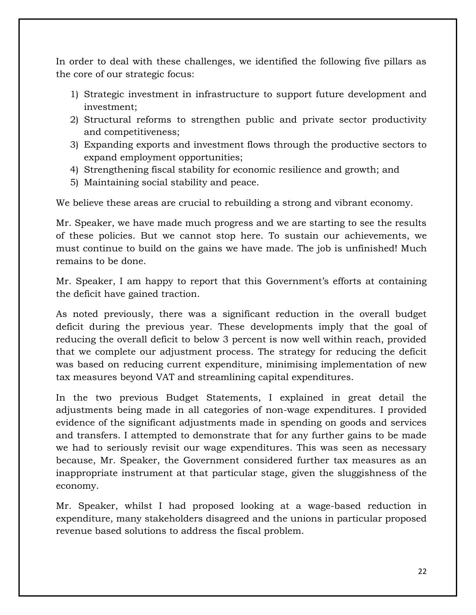In order to deal with these challenges, we identified the following five pillars as the core of our strategic focus:

- 1) Strategic investment in infrastructure to support future development and investment;
- 2) Structural reforms to strengthen public and private sector productivity and competitiveness;
- 3) Expanding exports and investment flows through the productive sectors to expand employment opportunities;
- 4) Strengthening fiscal stability for economic resilience and growth; and
- 5) Maintaining social stability and peace.

We believe these areas are crucial to rebuilding a strong and vibrant economy.

Mr. Speaker, we have made much progress and we are starting to see the results of these policies. But we cannot stop here. To sustain our achievements, we must continue to build on the gains we have made. The job is unfinished! Much remains to be done.

Mr. Speaker, I am happy to report that this Government's efforts at containing the deficit have gained traction.

As noted previously, there was a significant reduction in the overall budget deficit during the previous year. These developments imply that the goal of reducing the overall deficit to below 3 percent is now well within reach, provided that we complete our adjustment process. The strategy for reducing the deficit was based on reducing current expenditure, minimising implementation of new tax measures beyond VAT and streamlining capital expenditures.

In the two previous Budget Statements, I explained in great detail the adjustments being made in all categories of non-wage expenditures. I provided evidence of the significant adjustments made in spending on goods and services and transfers. I attempted to demonstrate that for any further gains to be made we had to seriously revisit our wage expenditures. This was seen as necessary because, Mr. Speaker, the Government considered further tax measures as an inappropriate instrument at that particular stage, given the sluggishness of the economy.

Mr. Speaker, whilst I had proposed looking at a wage-based reduction in expenditure, many stakeholders disagreed and the unions in particular proposed revenue based solutions to address the fiscal problem.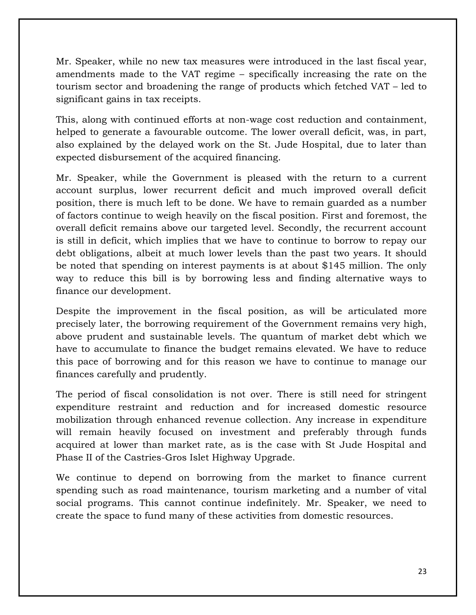Mr. Speaker, while no new tax measures were introduced in the last fiscal year, amendments made to the VAT regime – specifically increasing the rate on the tourism sector and broadening the range of products which fetched VAT – led to significant gains in tax receipts.

This, along with continued efforts at non-wage cost reduction and containment, helped to generate a favourable outcome. The lower overall deficit, was, in part, also explained by the delayed work on the St. Jude Hospital, due to later than expected disbursement of the acquired financing.

Mr. Speaker, while the Government is pleased with the return to a current account surplus, lower recurrent deficit and much improved overall deficit position, there is much left to be done. We have to remain guarded as a number of factors continue to weigh heavily on the fiscal position. First and foremost, the overall deficit remains above our targeted level. Secondly, the recurrent account is still in deficit, which implies that we have to continue to borrow to repay our debt obligations, albeit at much lower levels than the past two years. It should be noted that spending on interest payments is at about \$145 million. The only way to reduce this bill is by borrowing less and finding alternative ways to finance our development.

Despite the improvement in the fiscal position, as will be articulated more precisely later, the borrowing requirement of the Government remains very high, above prudent and sustainable levels. The quantum of market debt which we have to accumulate to finance the budget remains elevated. We have to reduce this pace of borrowing and for this reason we have to continue to manage our finances carefully and prudently.

The period of fiscal consolidation is not over. There is still need for stringent expenditure restraint and reduction and for increased domestic resource mobilization through enhanced revenue collection. Any increase in expenditure will remain heavily focused on investment and preferably through funds acquired at lower than market rate, as is the case with St Jude Hospital and Phase II of the Castries-Gros Islet Highway Upgrade.

We continue to depend on borrowing from the market to finance current spending such as road maintenance, tourism marketing and a number of vital social programs. This cannot continue indefinitely. Mr. Speaker, we need to create the space to fund many of these activities from domestic resources.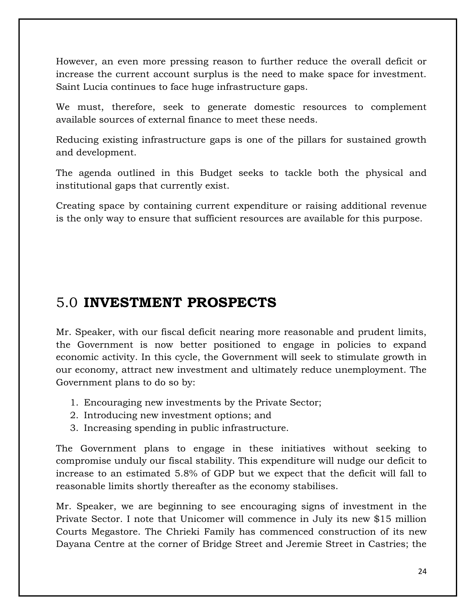However, an even more pressing reason to further reduce the overall deficit or increase the current account surplus is the need to make space for investment. Saint Lucia continues to face huge infrastructure gaps.

We must, therefore, seek to generate domestic resources to complement available sources of external finance to meet these needs.

Reducing existing infrastructure gaps is one of the pillars for sustained growth and development.

The agenda outlined in this Budget seeks to tackle both the physical and institutional gaps that currently exist.

Creating space by containing current expenditure or raising additional revenue is the only way to ensure that sufficient resources are available for this purpose.

### <span id="page-23-0"></span>5.0 **INVESTMENT PROSPECTS**

Mr. Speaker, with our fiscal deficit nearing more reasonable and prudent limits, the Government is now better positioned to engage in policies to expand economic activity. In this cycle, the Government will seek to stimulate growth in our economy, attract new investment and ultimately reduce unemployment. The Government plans to do so by:

- 1. Encouraging new investments by the Private Sector;
- 2. Introducing new investment options; and
- 3. Increasing spending in public infrastructure.

The Government plans to engage in these initiatives without seeking to compromise unduly our fiscal stability. This expenditure will nudge our deficit to increase to an estimated 5.8% of GDP but we expect that the deficit will fall to reasonable limits shortly thereafter as the economy stabilises.

Mr. Speaker, we are beginning to see encouraging signs of investment in the Private Sector. I note that Unicomer will commence in July its new \$15 million Courts Megastore. The Chrieki Family has commenced construction of its new Dayana Centre at the corner of Bridge Street and Jeremie Street in Castries; the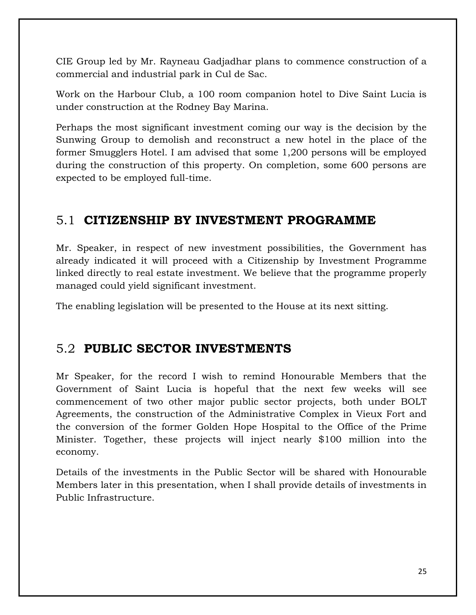CIE Group led by Mr. Rayneau Gadjadhar plans to commence construction of a commercial and industrial park in Cul de Sac.

Work on the Harbour Club, a 100 room companion hotel to Dive Saint Lucia is under construction at the Rodney Bay Marina.

Perhaps the most significant investment coming our way is the decision by the Sunwing Group to demolish and reconstruct a new hotel in the place of the former Smugglers Hotel. I am advised that some 1,200 persons will be employed during the construction of this property. On completion, some 600 persons are expected to be employed full-time.

### <span id="page-24-0"></span>5.1 **CITIZENSHIP BY INVESTMENT PROGRAMME**

Mr. Speaker, in respect of new investment possibilities, the Government has already indicated it will proceed with a Citizenship by Investment Programme linked directly to real estate investment. We believe that the programme properly managed could yield significant investment.

The enabling legislation will be presented to the House at its next sitting.

#### <span id="page-24-1"></span>5.2 **PUBLIC SECTOR INVESTMENTS**

Mr Speaker, for the record I wish to remind Honourable Members that the Government of Saint Lucia is hopeful that the next few weeks will see commencement of two other major public sector projects, both under BOLT Agreements, the construction of the Administrative Complex in Vieux Fort and the conversion of the former Golden Hope Hospital to the Office of the Prime Minister. Together, these projects will inject nearly \$100 million into the economy.

Details of the investments in the Public Sector will be shared with Honourable Members later in this presentation, when I shall provide details of investments in Public Infrastructure.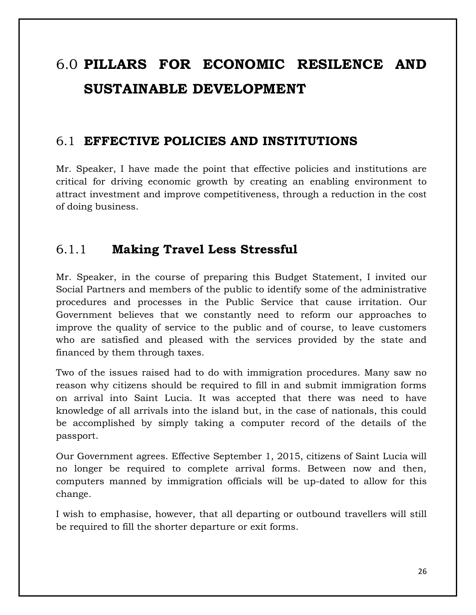# <span id="page-25-0"></span>6.0 **PILLARS FOR ECONOMIC RESILENCE AND SUSTAINABLE DEVELOPMENT**

#### <span id="page-25-1"></span>6.1 **EFFECTIVE POLICIES AND INSTITUTIONS**

Mr. Speaker, I have made the point that effective policies and institutions are critical for driving economic growth by creating an enabling environment to attract investment and improve competitiveness, through a reduction in the cost of doing business.

#### <span id="page-25-2"></span>6.1.1 **Making Travel Less Stressful**

Mr. Speaker, in the course of preparing this Budget Statement, I invited our Social Partners and members of the public to identify some of the administrative procedures and processes in the Public Service that cause irritation. Our Government believes that we constantly need to reform our approaches to improve the quality of service to the public and of course, to leave customers who are satisfied and pleased with the services provided by the state and financed by them through taxes.

Two of the issues raised had to do with immigration procedures. Many saw no reason why citizens should be required to fill in and submit immigration forms on arrival into Saint Lucia. It was accepted that there was need to have knowledge of all arrivals into the island but, in the case of nationals, this could be accomplished by simply taking a computer record of the details of the passport.

Our Government agrees. Effective September 1, 2015, citizens of Saint Lucia will no longer be required to complete arrival forms. Between now and then, computers manned by immigration officials will be up-dated to allow for this change.

I wish to emphasise, however, that all departing or outbound travellers will still be required to fill the shorter departure or exit forms.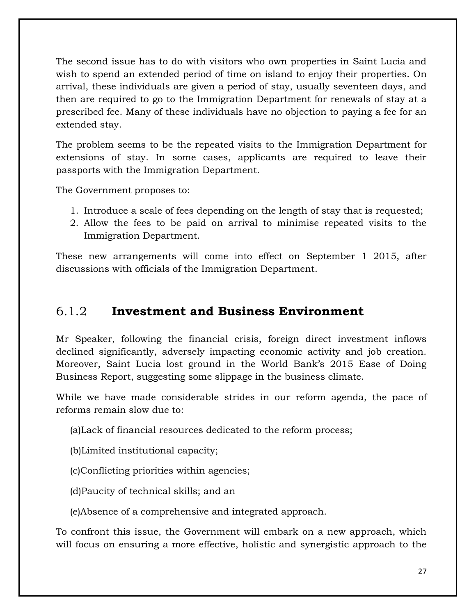The second issue has to do with visitors who own properties in Saint Lucia and wish to spend an extended period of time on island to enjoy their properties. On arrival, these individuals are given a period of stay, usually seventeen days, and then are required to go to the Immigration Department for renewals of stay at a prescribed fee. Many of these individuals have no objection to paying a fee for an extended stay.

The problem seems to be the repeated visits to the Immigration Department for extensions of stay. In some cases, applicants are required to leave their passports with the Immigration Department.

The Government proposes to:

- 1. Introduce a scale of fees depending on the length of stay that is requested;
- 2. Allow the fees to be paid on arrival to minimise repeated visits to the Immigration Department.

These new arrangements will come into effect on September 1 2015, after discussions with officials of the Immigration Department.

#### <span id="page-26-0"></span>6.1.2 **Investment and Business Environment**

Mr Speaker, following the financial crisis, foreign direct investment inflows declined significantly, adversely impacting economic activity and job creation. Moreover, Saint Lucia lost ground in the World Bank's 2015 Ease of Doing Business Report, suggesting some slippage in the business climate.

While we have made considerable strides in our reform agenda, the pace of reforms remain slow due to:

(a)Lack of financial resources dedicated to the reform process;

(b)Limited institutional capacity;

(c)Conflicting priorities within agencies;

(d)Paucity of technical skills; and an

(e)Absence of a comprehensive and integrated approach.

To confront this issue, the Government will embark on a new approach, which will focus on ensuring a more effective, holistic and synergistic approach to the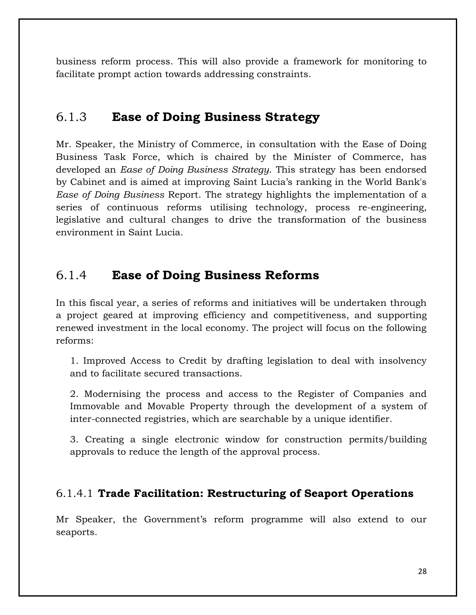business reform process. This will also provide a framework for monitoring to facilitate prompt action towards addressing constraints.

#### <span id="page-27-0"></span>6.1.3 **Ease of Doing Business Strategy**

Mr. Speaker, the Ministry of Commerce, in consultation with the Ease of Doing Business Task Force, which is chaired by the Minister of Commerce, has developed an *Ease of Doing Business Strategy*. This strategy has been endorsed by Cabinet and is aimed at improving Saint Lucia's ranking in the World Bank's *Ease of Doing Business* Report. The strategy highlights the implementation of a series of continuous reforms utilising technology, process re-engineering, legislative and cultural changes to drive the transformation of the business environment in Saint Lucia.

#### <span id="page-27-1"></span>6.1.4 **Ease of Doing Business Reforms**

In this fiscal year, a series of reforms and initiatives will be undertaken through a project geared at improving efficiency and competitiveness, and supporting renewed investment in the local economy. The project will focus on the following reforms:

1. Improved Access to Credit by drafting legislation to deal with insolvency and to facilitate secured transactions.

2. Modernising the process and access to the Register of Companies and Immovable and Movable Property through the development of a system of inter-connected registries, which are searchable by a unique identifier.

3. Creating a single electronic window for construction permits/building approvals to reduce the length of the approval process.

#### 6.1.4.1 **Trade Facilitation: Restructuring of Seaport Operations**

Mr Speaker, the Government's reform programme will also extend to our seaports.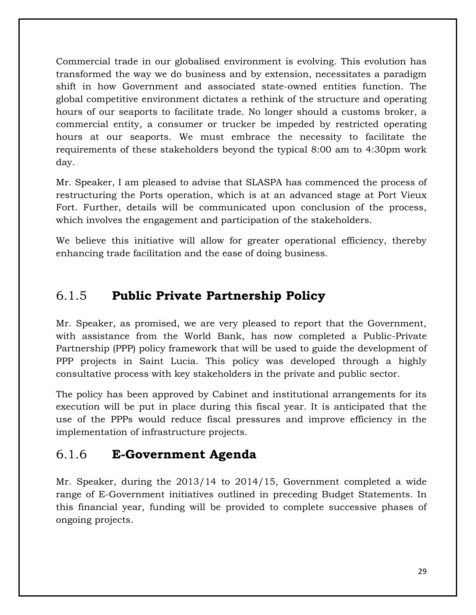Commercial trade in our globalised environment is evolving. This evolution has transformed the way we do business and by extension, necessitates a paradigm shift in how Government and associated state-owned entities function. The global competitive environment dictates a rethink of the structure and operating hours of our seaports to facilitate trade. No longer should a customs broker, a commercial entity, a consumer or trucker be impeded by restricted operating hours at our seaports. We must embrace the necessity to facilitate the requirements of these stakeholders beyond the typical 8:00 am to 4:30pm work day.

Mr. Speaker, I am pleased to advise that SLASPA has commenced the process of restructuring the Ports operation, which is at an advanced stage at Port Vieux Fort. Further, details will be communicated upon conclusion of the process, which involves the engagement and participation of the stakeholders.

We believe this initiative will allow for greater operational efficiency, thereby enhancing trade facilitation and the ease of doing business.

### <span id="page-28-0"></span>6.1.5 **Public Private Partnership Policy**

Mr. Speaker, as promised, we are very pleased to report that the Government, with assistance from the World Bank, has now completed a Public-Private Partnership (PPP) policy framework that will be used to guide the development of PPP projects in Saint Lucia. This policy was developed through a highly consultative process with key stakeholders in the private and public sector.

The policy has been approved by Cabinet and institutional arrangements for its execution will be put in place during this fiscal year. It is anticipated that the use of the PPPs would reduce fiscal pressures and improve efficiency in the implementation of infrastructure projects.

### <span id="page-28-1"></span>6.1.6 **E-Government Agenda**

Mr. Speaker, during the 2013/14 to 2014/15, Government completed a wide range of E-Government initiatives outlined in preceding Budget Statements. In this financial year, funding will be provided to complete successive phases of ongoing projects.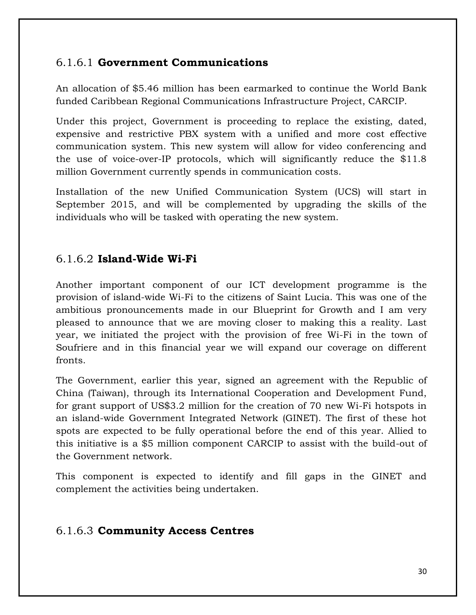#### 6.1.6.1 **Government Communications**

An allocation of \$5.46 million has been earmarked to continue the World Bank funded Caribbean Regional Communications Infrastructure Project, CARCIP.

Under this project, Government is proceeding to replace the existing, dated, expensive and restrictive PBX system with a unified and more cost effective communication system. This new system will allow for video conferencing and the use of voice-over-IP protocols, which will significantly reduce the \$11.8 million Government currently spends in communication costs.

Installation of the new Unified Communication System (UCS) will start in September 2015, and will be complemented by upgrading the skills of the individuals who will be tasked with operating the new system.

#### 6.1.6.2 **Island-Wide Wi-Fi**

Another important component of our ICT development programme is the provision of island-wide Wi-Fi to the citizens of Saint Lucia. This was one of the ambitious pronouncements made in our Blueprint for Growth and I am very pleased to announce that we are moving closer to making this a reality. Last year, we initiated the project with the provision of free Wi-Fi in the town of Soufriere and in this financial year we will expand our coverage on different fronts.

The Government, earlier this year, signed an agreement with the Republic of China (Taiwan), through its International Cooperation and Development Fund, for grant support of US\$3.2 million for the creation of 70 new Wi-Fi hotspots in an island-wide Government Integrated Network (GINET). The first of these hot spots are expected to be fully operational before the end of this year. Allied to this initiative is a \$5 million component CARCIP to assist with the build-out of the Government network.

This component is expected to identify and fill gaps in the GINET and complement the activities being undertaken.

#### 6.1.6.3 **Community Access Centres**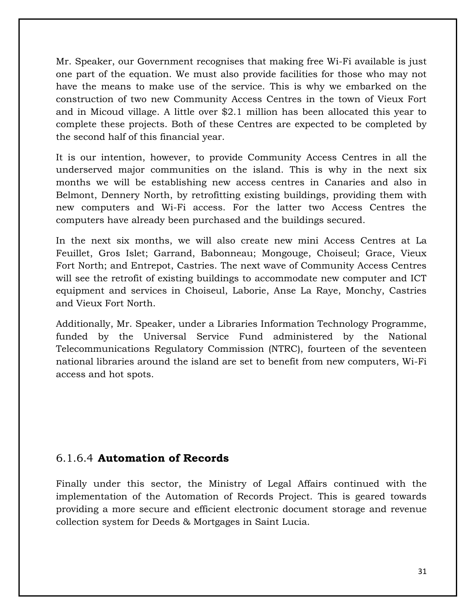Mr. Speaker, our Government recognises that making free Wi-Fi available is just one part of the equation. We must also provide facilities for those who may not have the means to make use of the service. This is why we embarked on the construction of two new Community Access Centres in the town of Vieux Fort and in Micoud village. A little over \$2.1 million has been allocated this year to complete these projects. Both of these Centres are expected to be completed by the second half of this financial year.

It is our intention, however, to provide Community Access Centres in all the underserved major communities on the island. This is why in the next six months we will be establishing new access centres in Canaries and also in Belmont, Dennery North, by retrofitting existing buildings, providing them with new computers and Wi-Fi access. For the latter two Access Centres the computers have already been purchased and the buildings secured.

In the next six months, we will also create new mini Access Centres at La Feuillet, Gros Islet; Garrand, Babonneau; Mongouge, Choiseul; Grace, Vieux Fort North; and Entrepot, Castries. The next wave of Community Access Centres will see the retrofit of existing buildings to accommodate new computer and ICT equipment and services in Choiseul, Laborie, Anse La Raye, Monchy, Castries and Vieux Fort North.

Additionally, Mr. Speaker, under a Libraries Information Technology Programme, funded by the Universal Service Fund administered by the National Telecommunications Regulatory Commission (NTRC), fourteen of the seventeen national libraries around the island are set to benefit from new computers, Wi-Fi access and hot spots.

#### 6.1.6.4 **Automation of Records**

Finally under this sector, the Ministry of Legal Affairs continued with the implementation of the Automation of Records Project. This is geared towards providing a more secure and efficient electronic document storage and revenue collection system for Deeds & Mortgages in Saint Lucia.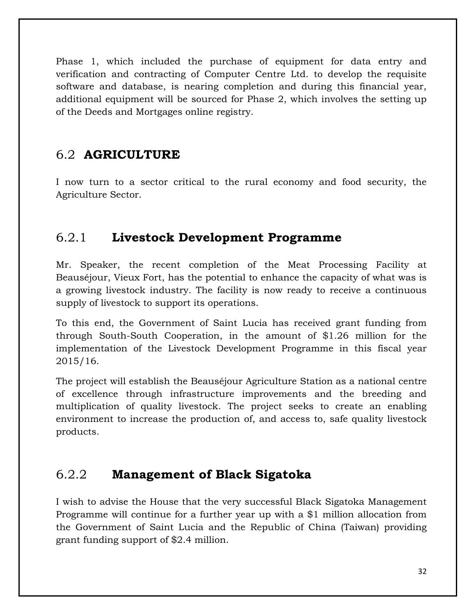Phase 1, which included the purchase of equipment for data entry and verification and contracting of Computer Centre Ltd. to develop the requisite software and database, is nearing completion and during this financial year, additional equipment will be sourced for Phase 2, which involves the setting up of the Deeds and Mortgages online registry.

### <span id="page-31-0"></span>6.2 **AGRICULTURE**

I now turn to a sector critical to the rural economy and food security, the Agriculture Sector.

### <span id="page-31-1"></span>6.2.1 **Livestock Development Programme**

Mr. Speaker, the recent completion of the Meat Processing Facility at Beauséjour, Vieux Fort, has the potential to enhance the capacity of what was is a growing livestock industry. The facility is now ready to receive a continuous supply of livestock to support its operations.

To this end, the Government of Saint Lucia has received grant funding from through South-South Cooperation, in the amount of \$1.26 million for the implementation of the Livestock Development Programme in this fiscal year 2015/16.

The project will establish the Beauséjour Agriculture Station as a national centre of excellence through infrastructure improvements and the breeding and multiplication of quality livestock. The project seeks to create an enabling environment to increase the production of, and access to, safe quality livestock products.

### <span id="page-31-2"></span>6.2.2 **Management of Black Sigatoka**

I wish to advise the House that the very successful Black Sigatoka Management Programme will continue for a further year up with a \$1 million allocation from the Government of Saint Lucia and the Republic of China (Taiwan) providing grant funding support of \$2.4 million.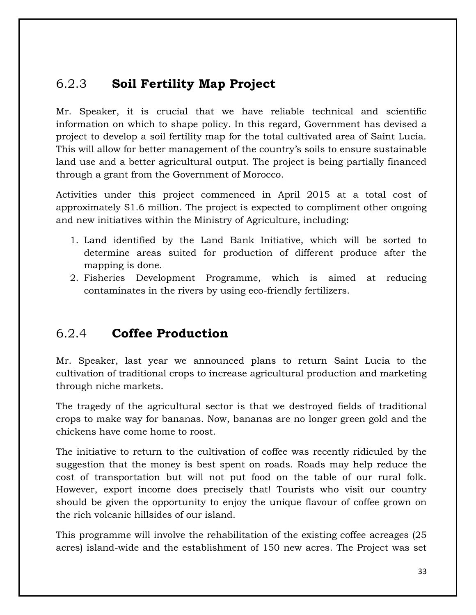### <span id="page-32-0"></span>6.2.3 **Soil Fertility Map Project**

Mr. Speaker, it is crucial that we have reliable technical and scientific information on which to shape policy. In this regard, Government has devised a project to develop a soil fertility map for the total cultivated area of Saint Lucia. This will allow for better management of the country's soils to ensure sustainable land use and a better agricultural output. The project is being partially financed through a grant from the Government of Morocco.

Activities under this project commenced in April 2015 at a total cost of approximately \$1.6 million. The project is expected to compliment other ongoing and new initiatives within the Ministry of Agriculture, including:

- 1. Land identified by the Land Bank Initiative, which will be sorted to determine areas suited for production of different produce after the mapping is done.
- 2. Fisheries Development Programme, which is aimed at reducing contaminates in the rivers by using eco-friendly fertilizers.

### <span id="page-32-1"></span>6.2.4 **Coffee Production**

Mr. Speaker, last year we announced plans to return Saint Lucia to the cultivation of traditional crops to increase agricultural production and marketing through niche markets.

The tragedy of the agricultural sector is that we destroyed fields of traditional crops to make way for bananas. Now, bananas are no longer green gold and the chickens have come home to roost.

The initiative to return to the cultivation of coffee was recently ridiculed by the suggestion that the money is best spent on roads. Roads may help reduce the cost of transportation but will not put food on the table of our rural folk. However, export income does precisely that! Tourists who visit our country should be given the opportunity to enjoy the unique flavour of coffee grown on the rich volcanic hillsides of our island.

This programme will involve the rehabilitation of the existing coffee acreages (25 acres) island-wide and the establishment of 150 new acres. The Project was set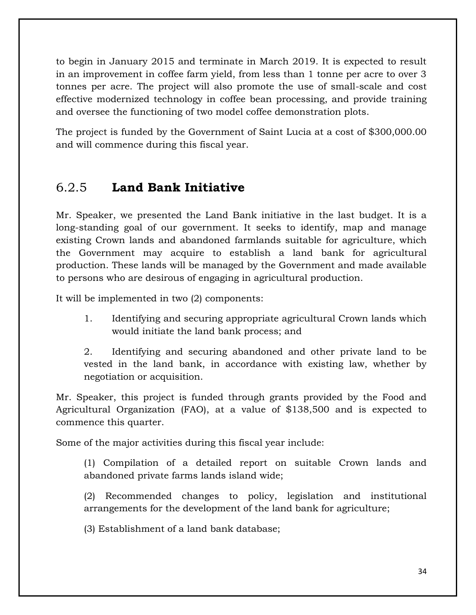to begin in January 2015 and terminate in March 2019. It is expected to result in an improvement in coffee farm yield, from less than 1 tonne per acre to over 3 tonnes per acre. The project will also promote the use of small-scale and cost effective modernized technology in coffee bean processing, and provide training and oversee the functioning of two model coffee demonstration plots.

The project is funded by the Government of Saint Lucia at a cost of \$300,000.00 and will commence during this fiscal year.

#### <span id="page-33-0"></span>6.2.5 **Land Bank Initiative**

Mr. Speaker, we presented the Land Bank initiative in the last budget. It is a long-standing goal of our government. It seeks to identify, map and manage existing Crown lands and abandoned farmlands suitable for agriculture, which the Government may acquire to establish a land bank for agricultural production. These lands will be managed by the Government and made available to persons who are desirous of engaging in agricultural production.

It will be implemented in two (2) components:

1. Identifying and securing appropriate agricultural Crown lands which would initiate the land bank process; and

2. Identifying and securing abandoned and other private land to be vested in the land bank, in accordance with existing law, whether by negotiation or acquisition.

Mr. Speaker, this project is funded through grants provided by the Food and Agricultural Organization (FAO), at a value of \$138,500 and is expected to commence this quarter.

Some of the major activities during this fiscal year include:

(1) Compilation of a detailed report on suitable Crown lands and abandoned private farms lands island wide;

(2) Recommended changes to policy, legislation and institutional arrangements for the development of the land bank for agriculture;

(3) Establishment of a land bank database;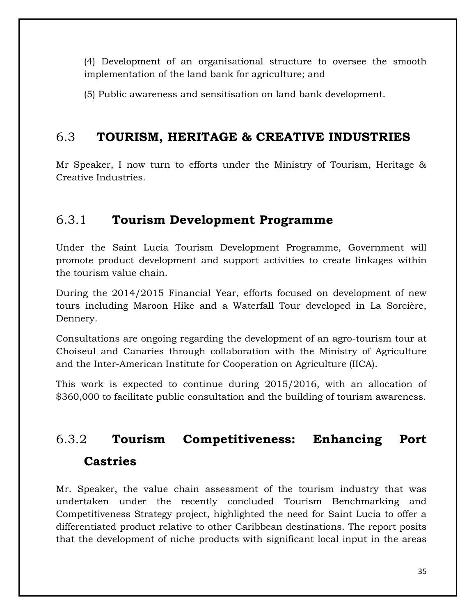(4) Development of an organisational structure to oversee the smooth implementation of the land bank for agriculture; and

(5) Public awareness and sensitisation on land bank development.

### <span id="page-34-0"></span>6.3 **TOURISM, HERITAGE & CREATIVE INDUSTRIES**

Mr Speaker, I now turn to efforts under the Ministry of Tourism, Heritage & Creative Industries.

### <span id="page-34-1"></span>6.3.1 **Tourism Development Programme**

Under the Saint Lucia Tourism Development Programme, Government will promote product development and support activities to create linkages within the tourism value chain.

During the 2014/2015 Financial Year, efforts focused on development of new tours including Maroon Hike and a Waterfall Tour developed in La Sorcière, Dennery.

Consultations are ongoing regarding the development of an agro-tourism tour at Choiseul and Canaries through collaboration with the Ministry of Agriculture and the Inter-American Institute for Cooperation on Agriculture (IICA).

This work is expected to continue during 2015/2016, with an allocation of \$360,000 to facilitate public consultation and the building of tourism awareness.

# <span id="page-34-2"></span>6.3.2 **Tourism Competitiveness: Enhancing Port Castries**

Mr. Speaker, the value chain assessment of the tourism industry that was undertaken under the recently concluded Tourism Benchmarking and Competitiveness Strategy project, highlighted the need for Saint Lucia to offer a differentiated product relative to other Caribbean destinations. The report posits that the development of niche products with significant local input in the areas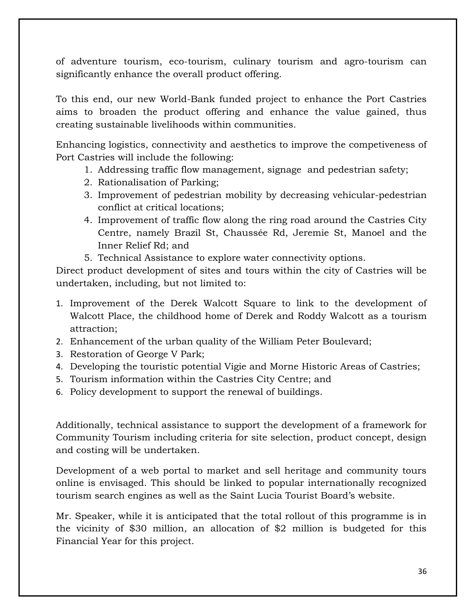of adventure tourism, eco-tourism, culinary tourism and agro-tourism can significantly enhance the overall product offering.

To this end, our new World-Bank funded project to enhance the Port Castries aims to broaden the product offering and enhance the value gained, thus creating sustainable livelihoods within communities.

Enhancing logistics, connectivity and aesthetics to improve the competiveness of Port Castries will include the following:

- 1. Addressing traffic flow management, signage and pedestrian safety;
- 2. Rationalisation of Parking;
- 3. Improvement of pedestrian mobility by decreasing vehicular-pedestrian conflict at critical locations;
- 4. Improvement of traffic flow along the ring road around the Castries City Centre, namely Brazil St, Chaussée Rd, Jeremie St, Manoel and the Inner Relief Rd; and
- 5. Technical Assistance to explore water connectivity options.

Direct product development of sites and tours within the city of Castries will be undertaken, including, but not limited to:

- 1. Improvement of the Derek Walcott Square to link to the development of Walcott Place, the childhood home of Derek and Roddy Walcott as a tourism attraction;
- 2. Enhancement of the urban quality of the William Peter Boulevard;
- 3. Restoration of George V Park;
- 4. Developing the touristic potential Vigie and Morne Historic Areas of Castries;
- 5. Tourism information within the Castries City Centre; and
- 6. Policy development to support the renewal of buildings.

Additionally, technical assistance to support the development of a framework for Community Tourism including criteria for site selection, product concept, design and costing will be undertaken.

Development of a web portal to market and sell heritage and community tours online is envisaged. This should be linked to popular internationally recognized tourism search engines as well as the Saint Lucia Tourist Board's website.

Mr. Speaker, while it is anticipated that the total rollout of this programme is in the vicinity of \$30 million, an allocation of \$2 million is budgeted for this Financial Year for this project.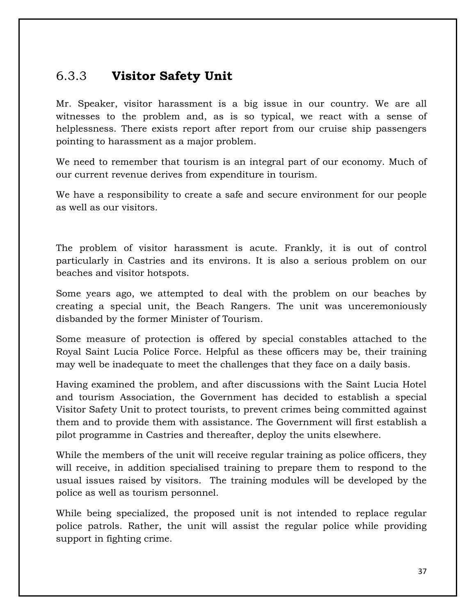### 6.3.3 **Visitor Safety Unit**

Mr. Speaker, visitor harassment is a big issue in our country. We are all witnesses to the problem and, as is so typical, we react with a sense of helplessness. There exists report after report from our cruise ship passengers pointing to harassment as a major problem.

We need to remember that tourism is an integral part of our economy. Much of our current revenue derives from expenditure in tourism.

We have a responsibility to create a safe and secure environment for our people as well as our visitors.

The problem of visitor harassment is acute. Frankly, it is out of control particularly in Castries and its environs. It is also a serious problem on our beaches and visitor hotspots.

Some years ago, we attempted to deal with the problem on our beaches by creating a special unit, the Beach Rangers. The unit was unceremoniously disbanded by the former Minister of Tourism.

Some measure of protection is offered by special constables attached to the Royal Saint Lucia Police Force. Helpful as these officers may be, their training may well be inadequate to meet the challenges that they face on a daily basis.

Having examined the problem, and after discussions with the Saint Lucia Hotel and tourism Association, the Government has decided to establish a special Visitor Safety Unit to protect tourists, to prevent crimes being committed against them and to provide them with assistance. The Government will first establish a pilot programme in Castries and thereafter, deploy the units elsewhere.

While the members of the unit will receive regular training as police officers, they will receive, in addition specialised training to prepare them to respond to the usual issues raised by visitors. The training modules will be developed by the police as well as tourism personnel.

While being specialized, the proposed unit is not intended to replace regular police patrols. Rather, the unit will assist the regular police while providing support in fighting crime.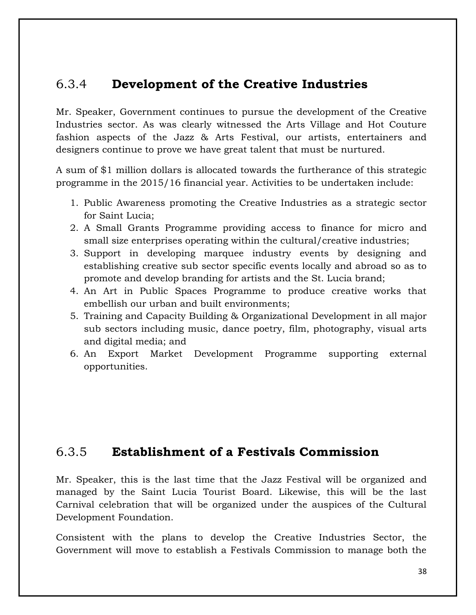### 6.3.4 **Development of the Creative Industries**

Mr. Speaker, Government continues to pursue the development of the Creative Industries sector. As was clearly witnessed the Arts Village and Hot Couture fashion aspects of the Jazz & Arts Festival, our artists, entertainers and designers continue to prove we have great talent that must be nurtured.

A sum of \$1 million dollars is allocated towards the furtherance of this strategic programme in the 2015/16 financial year. Activities to be undertaken include:

- 1. Public Awareness promoting the Creative Industries as a strategic sector for Saint Lucia;
- 2. A Small Grants Programme providing access to finance for micro and small size enterprises operating within the cultural/creative industries;
- 3. Support in developing marquee industry events by designing and establishing creative sub sector specific events locally and abroad so as to promote and develop branding for artists and the St. Lucia brand;
- 4. An Art in Public Spaces Programme to produce creative works that embellish our urban and built environments;
- 5. Training and Capacity Building & Organizational Development in all major sub sectors including music, dance poetry, film, photography, visual arts and digital media; and
- 6. An Export Market Development Programme supporting external opportunities.

### 6.3.5 **Establishment of a Festivals Commission**

Mr. Speaker, this is the last time that the Jazz Festival will be organized and managed by the Saint Lucia Tourist Board. Likewise, this will be the last Carnival celebration that will be organized under the auspices of the Cultural Development Foundation.

Consistent with the plans to develop the Creative Industries Sector, the Government will move to establish a Festivals Commission to manage both the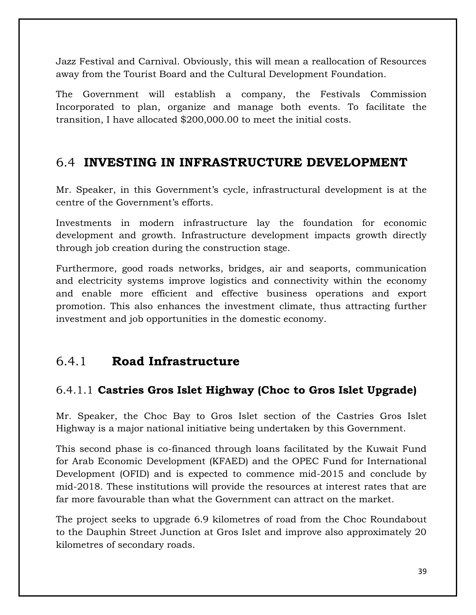Jazz Festival and Carnival. Obviously, this will mean a reallocation of Resources away from the Tourist Board and the Cultural Development Foundation.

The Government will establish a company, the Festivals Commission Incorporated to plan, organize and manage both events. To facilitate the transition, I have allocated \$200,000.00 to meet the initial costs.

### 6.4 **INVESTING IN INFRASTRUCTURE DEVELOPMENT**

Mr. Speaker, in this Government's cycle, infrastructural development is at the centre of the Government's efforts.

Investments in modern infrastructure lay the foundation for economic development and growth. Infrastructure development impacts growth directly through job creation during the construction stage.

Furthermore, good roads networks, bridges, air and seaports, communication and electricity systems improve logistics and connectivity within the economy and enable more efficient and effective business operations and export promotion. This also enhances the investment climate, thus attracting further investment and job opportunities in the domestic economy.

### 6.4.1 **Road Infrastructure**

#### 6.4.1.1 **Castries Gros Islet Highway (Choc to Gros Islet Upgrade)**

Mr. Speaker, the Choc Bay to Gros Islet section of the Castries Gros Islet Highway is a major national initiative being undertaken by this Government.

This second phase is co-financed through loans facilitated by the Kuwait Fund for Arab Economic Development (KFAED) and the OPEC Fund for International Development (OFID) and is expected to commence mid-2015 and conclude by mid-2018. These institutions will provide the resources at interest rates that are far more favourable than what the Government can attract on the market.

The project seeks to upgrade 6.9 kilometres of road from the Choc Roundabout to the Dauphin Street Junction at Gros Islet and improve also approximately 20 kilometres of secondary roads.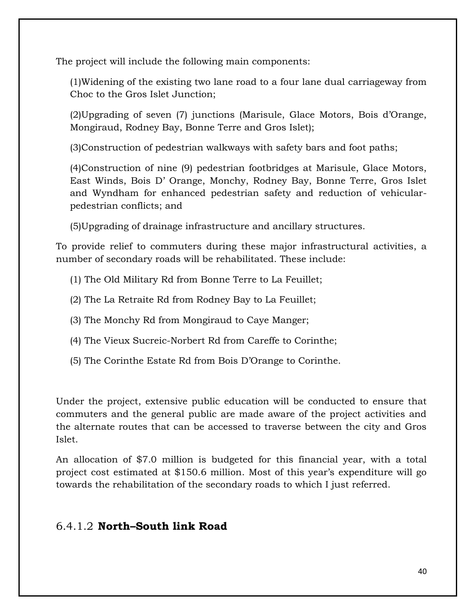The project will include the following main components:

(1)Widening of the existing two lane road to a four lane dual carriageway from Choc to the Gros Islet Junction;

(2)Upgrading of seven (7) junctions (Marisule, Glace Motors, Bois d'Orange, Mongiraud, Rodney Bay, Bonne Terre and Gros Islet);

(3)Construction of pedestrian walkways with safety bars and foot paths;

(4)Construction of nine (9) pedestrian footbridges at Marisule, Glace Motors, East Winds, Bois D' Orange, Monchy, Rodney Bay, Bonne Terre, Gros Islet and Wyndham for enhanced pedestrian safety and reduction of vehicularpedestrian conflicts; and

(5)Upgrading of drainage infrastructure and ancillary structures.

To provide relief to commuters during these major infrastructural activities, a number of secondary roads will be rehabilitated. These include:

- (1) The Old Military Rd from Bonne Terre to La Feuillet;
- (2) The La Retraite Rd from Rodney Bay to La Feuillet;
- (3) The Monchy Rd from Mongiraud to Caye Manger;
- (4) The Vieux Sucreic-Norbert Rd from Careffe to Corinthe;
- (5) The Corinthe Estate Rd from Bois D'Orange to Corinthe.

Under the project, extensive public education will be conducted to ensure that commuters and the general public are made aware of the project activities and the alternate routes that can be accessed to traverse between the city and Gros Islet.

An allocation of \$7.0 million is budgeted for this financial year, with a total project cost estimated at \$150.6 million. Most of this year's expenditure will go towards the rehabilitation of the secondary roads to which I just referred.

#### 6.4.1.2 **North–South link Road**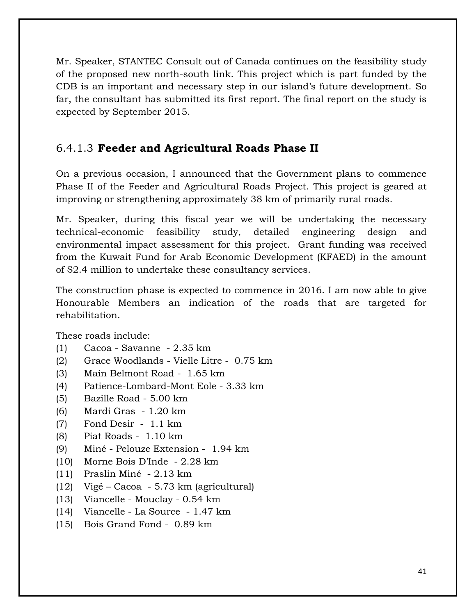Mr. Speaker, STANTEC Consult out of Canada continues on the feasibility study of the proposed new north-south link. This project which is part funded by the CDB is an important and necessary step in our island's future development. So far, the consultant has submitted its first report. The final report on the study is expected by September 2015.

#### 6.4.1.3 **Feeder and Agricultural Roads Phase II**

On a previous occasion, I announced that the Government plans to commence Phase II of the Feeder and Agricultural Roads Project. This project is geared at improving or strengthening approximately 38 km of primarily rural roads.

Mr. Speaker, during this fiscal year we will be undertaking the necessary technical-economic feasibility study, detailed engineering design and environmental impact assessment for this project. Grant funding was received from the Kuwait Fund for Arab Economic Development (KFAED) in the amount of \$2.4 million to undertake these consultancy services.

The construction phase is expected to commence in 2016. I am now able to give Honourable Members an indication of the roads that are targeted for rehabilitation.

These roads include:

- (1) Cacoa Savanne 2.35 km
- (2) Grace Woodlands Vielle Litre 0.75 km
- (3) Main Belmont Road 1.65 km
- (4) Patience-Lombard-Mont Eole 3.33 km
- (5) Bazille Road 5.00 km
- (6) Mardi Gras 1.20 km
- (7) Fond Desir 1.1 km
- (8) Piat Roads 1.10 km
- (9) Miné Pelouze Extension 1.94 km
- (10) Morne Bois D'Inde 2.28 km
- (11) Praslin Miné 2.13 km
- (12) Vigé Cacoa 5.73 km (agricultural)
- (13) Viancelle Mouclay 0.54 km
- (14) Viancelle La Source 1.47 km
- (15) Bois Grand Fond 0.89 km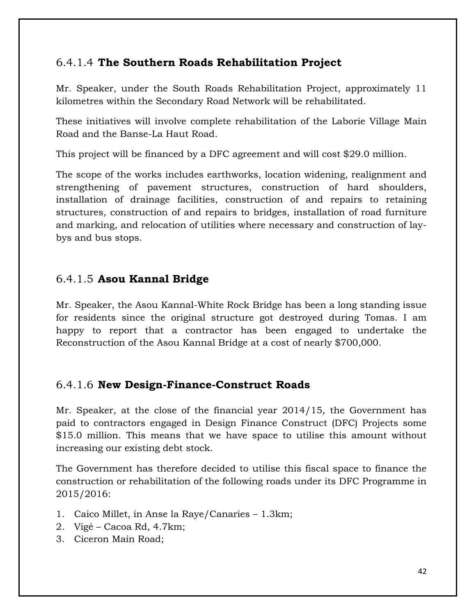#### 6.4.1.4 **The Southern Roads Rehabilitation Project**

Mr. Speaker, under the South Roads Rehabilitation Project, approximately 11 kilometres within the Secondary Road Network will be rehabilitated.

These initiatives will involve complete rehabilitation of the Laborie Village Main Road and the Banse-La Haut Road.

This project will be financed by a DFC agreement and will cost \$29.0 million.

The scope of the works includes earthworks, location widening, realignment and strengthening of pavement structures, construction of hard shoulders, installation of drainage facilities, construction of and repairs to retaining structures, construction of and repairs to bridges, installation of road furniture and marking, and relocation of utilities where necessary and construction of laybys and bus stops.

#### 6.4.1.5 **Asou Kannal Bridge**

Mr. Speaker, the Asou Kannal-White Rock Bridge has been a long standing issue for residents since the original structure got destroyed during Tomas. I am happy to report that a contractor has been engaged to undertake the Reconstruction of the Asou Kannal Bridge at a cost of nearly \$700,000.

#### 6.4.1.6 **New Design-Finance-Construct Roads**

Mr. Speaker, at the close of the financial year 2014/15, the Government has paid to contractors engaged in Design Finance Construct (DFC) Projects some \$15.0 million. This means that we have space to utilise this amount without increasing our existing debt stock.

The Government has therefore decided to utilise this fiscal space to finance the construction or rehabilitation of the following roads under its DFC Programme in 2015/2016:

- 1. Caico Millet, in Anse la Raye/Canaries 1.3km;
- 2. Vigé Cacoa Rd, 4.7km;
- 3. Ciceron Main Road;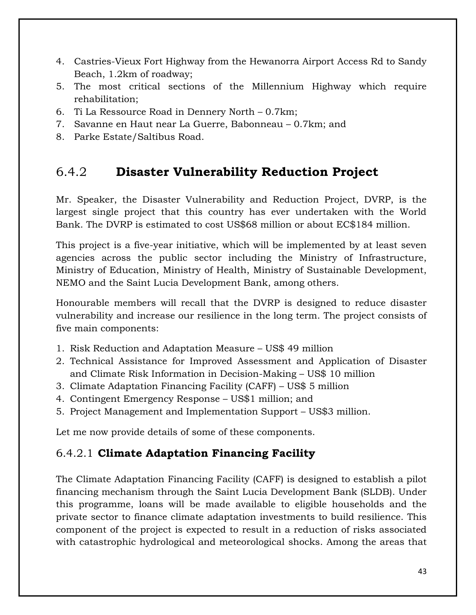- 4. Castries-Vieux Fort Highway from the Hewanorra Airport Access Rd to Sandy Beach, 1.2km of roadway;
- 5. The most critical sections of the Millennium Highway which require rehabilitation;
- 6. Ti La Ressource Road in Dennery North 0.7km;
- 7. Savanne en Haut near La Guerre, Babonneau 0.7km; and
- 8. Parke Estate/Saltibus Road.

### 6.4.2 **Disaster Vulnerability Reduction Project**

Mr. Speaker, the Disaster Vulnerability and Reduction Project, DVRP, is the largest single project that this country has ever undertaken with the World Bank. The DVRP is estimated to cost US\$68 million or about EC\$184 million.

This project is a five-year initiative, which will be implemented by at least seven agencies across the public sector including the Ministry of Infrastructure, Ministry of Education, Ministry of Health, Ministry of Sustainable Development, NEMO and the Saint Lucia Development Bank, among others.

Honourable members will recall that the DVRP is designed to reduce disaster vulnerability and increase our resilience in the long term. The project consists of five main components:

- 1. Risk Reduction and Adaptation Measure US\$ 49 million
- 2. Technical Assistance for Improved Assessment and Application of Disaster and Climate Risk Information in Decision-Making – US\$ 10 million
- 3. Climate Adaptation Financing Facility (CAFF) US\$ 5 million
- 4. Contingent Emergency Response US\$1 million; and
- 5. Project Management and Implementation Support US\$3 million.

Let me now provide details of some of these components.

### 6.4.2.1 **Climate Adaptation Financing Facility**

The Climate Adaptation Financing Facility (CAFF) is designed to establish a pilot financing mechanism through the Saint Lucia Development Bank (SLDB). Under this programme, loans will be made available to eligible households and the private sector to finance climate adaptation investments to build resilience. This component of the project is expected to result in a reduction of risks associated with catastrophic hydrological and meteorological shocks. Among the areas that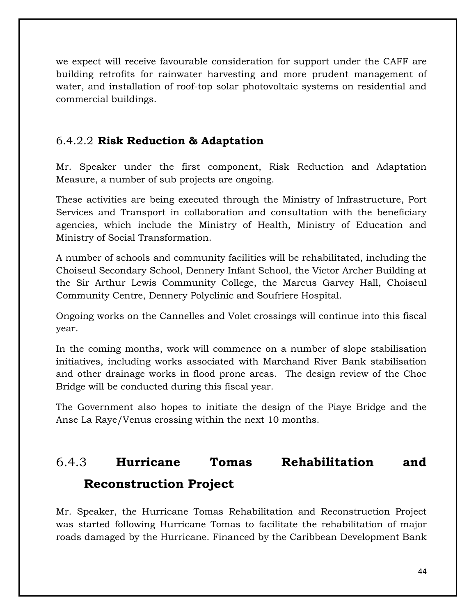we expect will receive favourable consideration for support under the CAFF are building retrofits for rainwater harvesting and more prudent management of water, and installation of roof-top solar photovoltaic systems on residential and commercial buildings.

#### 6.4.2.2 **Risk Reduction & Adaptation**

Mr. Speaker under the first component, Risk Reduction and Adaptation Measure, a number of sub projects are ongoing.

These activities are being executed through the Ministry of Infrastructure, Port Services and Transport in collaboration and consultation with the beneficiary agencies, which include the Ministry of Health, Ministry of Education and Ministry of Social Transformation.

A number of schools and community facilities will be rehabilitated, including the Choiseul Secondary School, Dennery Infant School, the Victor Archer Building at the Sir Arthur Lewis Community College, the Marcus Garvey Hall, Choiseul Community Centre, Dennery Polyclinic and Soufriere Hospital.

Ongoing works on the Cannelles and Volet crossings will continue into this fiscal year.

In the coming months, work will commence on a number of slope stabilisation initiatives, including works associated with Marchand River Bank stabilisation and other drainage works in flood prone areas. The design review of the Choc Bridge will be conducted during this fiscal year.

The Government also hopes to initiate the design of the Piaye Bridge and the Anse La Raye/Venus crossing within the next 10 months.

## 6.4.3 **Hurricane Tomas Rehabilitation and Reconstruction Project**

Mr. Speaker, the Hurricane Tomas Rehabilitation and Reconstruction Project was started following Hurricane Tomas to facilitate the rehabilitation of major roads damaged by the Hurricane. Financed by the Caribbean Development Bank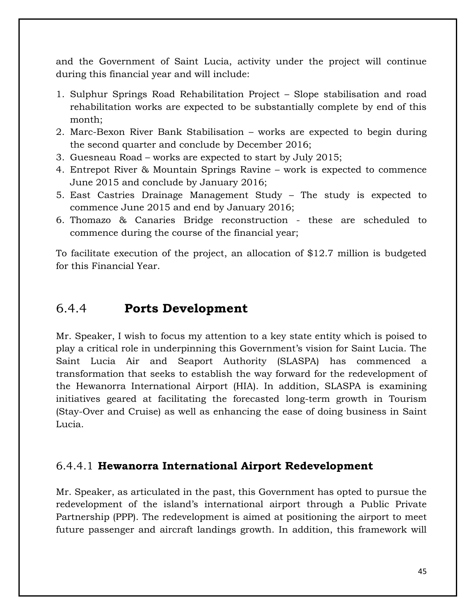and the Government of Saint Lucia, activity under the project will continue during this financial year and will include:

- 1. Sulphur Springs Road Rehabilitation Project Slope stabilisation and road rehabilitation works are expected to be substantially complete by end of this month;
- 2. Marc-Bexon River Bank Stabilisation works are expected to begin during the second quarter and conclude by December 2016;
- 3. Guesneau Road works are expected to start by July 2015;
- 4. Entrepot River & Mountain Springs Ravine work is expected to commence June 2015 and conclude by January 2016;
- 5. East Castries Drainage Management Study The study is expected to commence June 2015 and end by January 2016;
- 6. Thomazo & Canaries Bridge reconstruction these are scheduled to commence during the course of the financial year;

To facilitate execution of the project, an allocation of \$12.7 million is budgeted for this Financial Year.

### 6.4.4 **Ports Development**

Mr. Speaker, I wish to focus my attention to a key state entity which is poised to play a critical role in underpinning this Government's vision for Saint Lucia. The Saint Lucia Air and Seaport Authority (SLASPA) has commenced a transformation that seeks to establish the way forward for the redevelopment of the Hewanorra International Airport (HIA). In addition, SLASPA is examining initiatives geared at facilitating the forecasted long-term growth in Tourism (Stay-Over and Cruise) as well as enhancing the ease of doing business in Saint Lucia.

#### 6.4.4.1 **Hewanorra International Airport Redevelopment**

Mr. Speaker, as articulated in the past, this Government has opted to pursue the redevelopment of the island's international airport through a Public Private Partnership (PPP). The redevelopment is aimed at positioning the airport to meet future passenger and aircraft landings growth. In addition, this framework will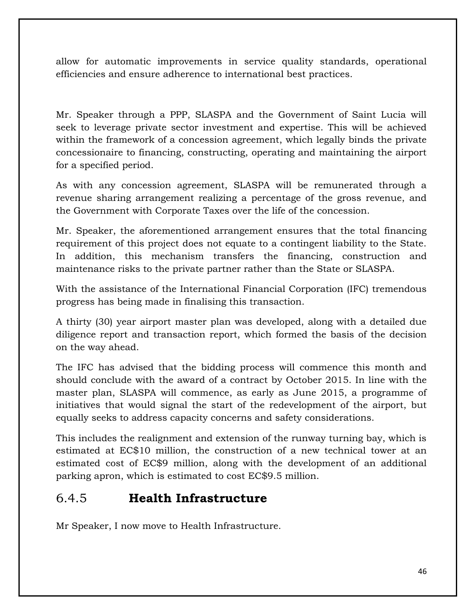allow for automatic improvements in service quality standards, operational efficiencies and ensure adherence to international best practices.

Mr. Speaker through a PPP, SLASPA and the Government of Saint Lucia will seek to leverage private sector investment and expertise. This will be achieved within the framework of a concession agreement, which legally binds the private concessionaire to financing, constructing, operating and maintaining the airport for a specified period.

As with any concession agreement, SLASPA will be remunerated through a revenue sharing arrangement realizing a percentage of the gross revenue, and the Government with Corporate Taxes over the life of the concession.

Mr. Speaker, the aforementioned arrangement ensures that the total financing requirement of this project does not equate to a contingent liability to the State. In addition, this mechanism transfers the financing, construction and maintenance risks to the private partner rather than the State or SLASPA.

With the assistance of the International Financial Corporation (IFC) tremendous progress has being made in finalising this transaction.

A thirty (30) year airport master plan was developed, along with a detailed due diligence report and transaction report, which formed the basis of the decision on the way ahead.

The IFC has advised that the bidding process will commence this month and should conclude with the award of a contract by October 2015. In line with the master plan, SLASPA will commence, as early as June 2015, a programme of initiatives that would signal the start of the redevelopment of the airport, but equally seeks to address capacity concerns and safety considerations.

This includes the realignment and extension of the runway turning bay, which is estimated at EC\$10 million, the construction of a new technical tower at an estimated cost of EC\$9 million, along with the development of an additional parking apron, which is estimated to cost EC\$9.5 million.

### 6.4.5 **Health Infrastructure**

Mr Speaker, I now move to Health Infrastructure.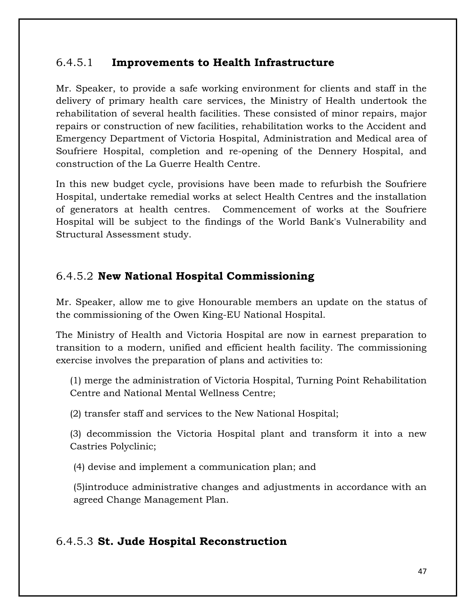#### 6.4.5.1 **Improvements to Health Infrastructure**

Mr. Speaker, to provide a safe working environment for clients and staff in the delivery of primary health care services, the Ministry of Health undertook the rehabilitation of several health facilities. These consisted of minor repairs, major repairs or construction of new facilities, rehabilitation works to the Accident and Emergency Department of Victoria Hospital, Administration and Medical area of Soufriere Hospital, completion and re-opening of the Dennery Hospital, and construction of the La Guerre Health Centre.

In this new budget cycle, provisions have been made to refurbish the Soufriere Hospital, undertake remedial works at select Health Centres and the installation of generators at health centres. Commencement of works at the Soufriere Hospital will be subject to the findings of the World Bank's Vulnerability and Structural Assessment study.

#### 6.4.5.2 **New National Hospital Commissioning**

Mr. Speaker, allow me to give Honourable members an update on the status of the commissioning of the Owen King-EU National Hospital.

The Ministry of Health and Victoria Hospital are now in earnest preparation to transition to a modern, unified and efficient health facility. The commissioning exercise involves the preparation of plans and activities to:

(1) merge the administration of Victoria Hospital, Turning Point Rehabilitation Centre and National Mental Wellness Centre;

(2) transfer staff and services to the New National Hospital;

(3) decommission the Victoria Hospital plant and transform it into a new Castries Polyclinic;

(4) devise and implement a communication plan; and

(5)introduce administrative changes and adjustments in accordance with an agreed Change Management Plan.

#### 6.4.5.3 **St. Jude Hospital Reconstruction**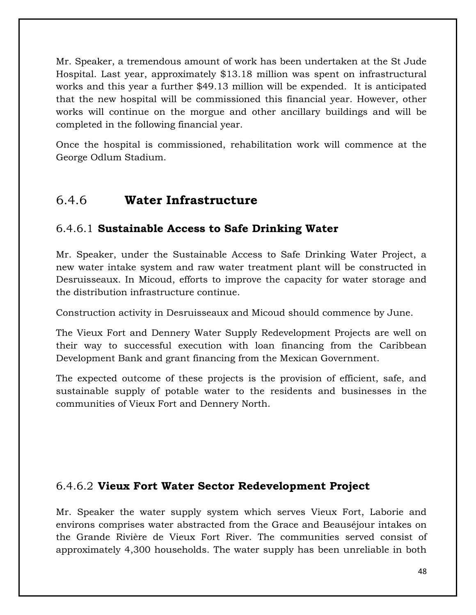Mr. Speaker, a tremendous amount of work has been undertaken at the St Jude Hospital. Last year, approximately \$13.18 million was spent on infrastructural works and this year a further \$49.13 million will be expended. It is anticipated that the new hospital will be commissioned this financial year. However, other works will continue on the morgue and other ancillary buildings and will be completed in the following financial year.

Once the hospital is commissioned, rehabilitation work will commence at the George Odlum Stadium.

### 6.4.6 **Water Infrastructure**

#### 6.4.6.1 **Sustainable Access to Safe Drinking Water**

Mr. Speaker, under the Sustainable Access to Safe Drinking Water Project, a new water intake system and raw water treatment plant will be constructed in Desruisseaux. In Micoud, efforts to improve the capacity for water storage and the distribution infrastructure continue.

Construction activity in Desruisseaux and Micoud should commence by June.

The Vieux Fort and Dennery Water Supply Redevelopment Projects are well on their way to successful execution with loan financing from the Caribbean Development Bank and grant financing from the Mexican Government.

The expected outcome of these projects is the provision of efficient, safe, and sustainable supply of potable water to the residents and businesses in the communities of Vieux Fort and Dennery North.

#### 6.4.6.2 **Vieux Fort Water Sector Redevelopment Project**

Mr. Speaker the water supply system which serves Vieux Fort, Laborie and environs comprises water abstracted from the Grace and Beauséjour intakes on the Grande Rivière de Vieux Fort River. The communities served consist of approximately 4,300 households. The water supply has been unreliable in both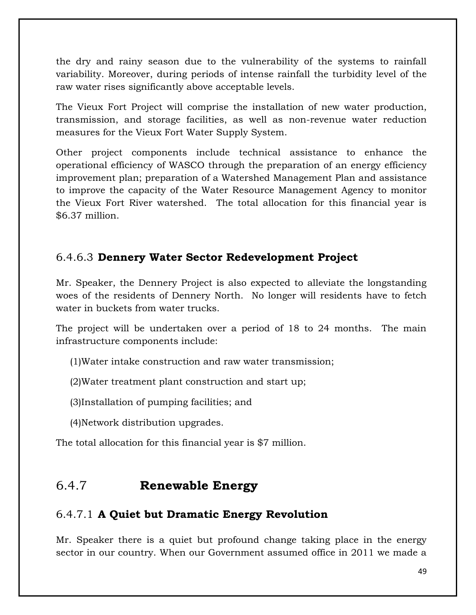the dry and rainy season due to the vulnerability of the systems to rainfall variability. Moreover, during periods of intense rainfall the turbidity level of the raw water rises significantly above acceptable levels.

The Vieux Fort Project will comprise the installation of new water production, transmission, and storage facilities, as well as non-revenue water reduction measures for the Vieux Fort Water Supply System.

Other project components include technical assistance to enhance the operational efficiency of WASCO through the preparation of an energy efficiency improvement plan; preparation of a Watershed Management Plan and assistance to improve the capacity of the Water Resource Management Agency to monitor the Vieux Fort River watershed. The total allocation for this financial year is \$6.37 million.

#### 6.4.6.3 **Dennery Water Sector Redevelopment Project**

Mr. Speaker, the Dennery Project is also expected to alleviate the longstanding woes of the residents of Dennery North. No longer will residents have to fetch water in buckets from water trucks.

The project will be undertaken over a period of 18 to 24 months. The main infrastructure components include:

(1)Water intake construction and raw water transmission;

(2)Water treatment plant construction and start up;

(3)Installation of pumping facilities; and

(4)Network distribution upgrades.

The total allocation for this financial year is \$7 million.

### 6.4.7 **Renewable Energy**

#### 6.4.7.1 **A Quiet but Dramatic Energy Revolution**

Mr. Speaker there is a quiet but profound change taking place in the energy sector in our country. When our Government assumed office in 2011 we made a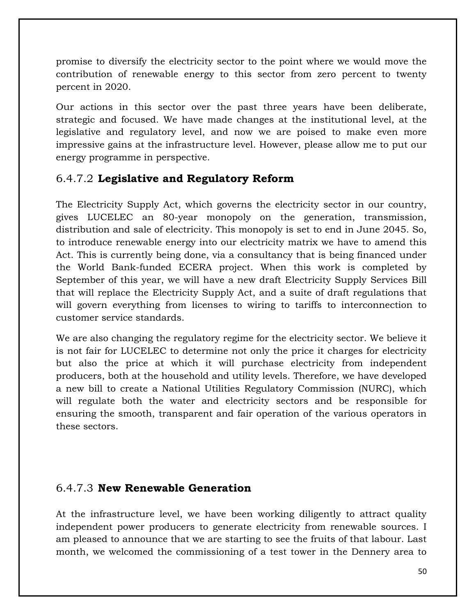promise to diversify the electricity sector to the point where we would move the contribution of renewable energy to this sector from zero percent to twenty percent in 2020.

Our actions in this sector over the past three years have been deliberate, strategic and focused. We have made changes at the institutional level, at the legislative and regulatory level, and now we are poised to make even more impressive gains at the infrastructure level. However, please allow me to put our energy programme in perspective.

#### 6.4.7.2 **Legislative and Regulatory Reform**

The Electricity Supply Act, which governs the electricity sector in our country, gives LUCELEC an 80-year monopoly on the generation, transmission, distribution and sale of electricity. This monopoly is set to end in June 2045. So, to introduce renewable energy into our electricity matrix we have to amend this Act. This is currently being done, via a consultancy that is being financed under the World Bank-funded ECERA project. When this work is completed by September of this year, we will have a new draft Electricity Supply Services Bill that will replace the Electricity Supply Act, and a suite of draft regulations that will govern everything from licenses to wiring to tariffs to interconnection to customer service standards.

We are also changing the regulatory regime for the electricity sector. We believe it is not fair for LUCELEC to determine not only the price it charges for electricity but also the price at which it will purchase electricity from independent producers, both at the household and utility levels. Therefore, we have developed a new bill to create a National Utilities Regulatory Commission (NURC), which will regulate both the water and electricity sectors and be responsible for ensuring the smooth, transparent and fair operation of the various operators in these sectors.

#### 6.4.7.3 **New Renewable Generation**

At the infrastructure level, we have been working diligently to attract quality independent power producers to generate electricity from renewable sources. I am pleased to announce that we are starting to see the fruits of that labour. Last month, we welcomed the commissioning of a test tower in the Dennery area to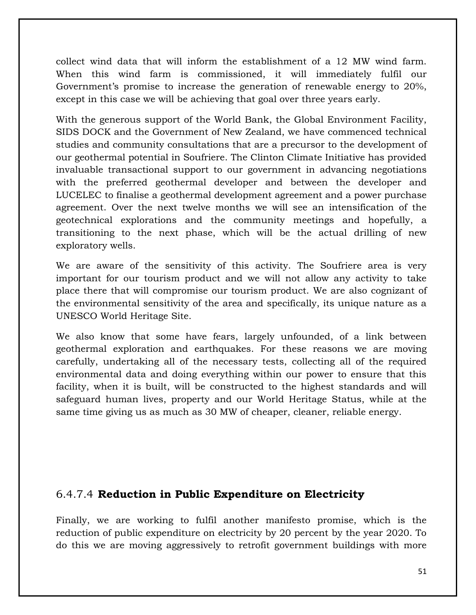collect wind data that will inform the establishment of a 12 MW wind farm. When this wind farm is commissioned, it will immediately fulfil our Government's promise to increase the generation of renewable energy to 20%, except in this case we will be achieving that goal over three years early.

With the generous support of the World Bank, the Global Environment Facility, SIDS DOCK and the Government of New Zealand, we have commenced technical studies and community consultations that are a precursor to the development of our geothermal potential in Soufriere. The Clinton Climate Initiative has provided invaluable transactional support to our government in advancing negotiations with the preferred geothermal developer and between the developer and LUCELEC to finalise a geothermal development agreement and a power purchase agreement. Over the next twelve months we will see an intensification of the geotechnical explorations and the community meetings and hopefully, a transitioning to the next phase, which will be the actual drilling of new exploratory wells.

We are aware of the sensitivity of this activity. The Soufriere area is very important for our tourism product and we will not allow any activity to take place there that will compromise our tourism product. We are also cognizant of the environmental sensitivity of the area and specifically, its unique nature as a UNESCO World Heritage Site.

We also know that some have fears, largely unfounded, of a link between geothermal exploration and earthquakes. For these reasons we are moving carefully, undertaking all of the necessary tests, collecting all of the required environmental data and doing everything within our power to ensure that this facility, when it is built, will be constructed to the highest standards and will safeguard human lives, property and our World Heritage Status, while at the same time giving us as much as 30 MW of cheaper, cleaner, reliable energy.

#### 6.4.7.4 **Reduction in Public Expenditure on Electricity**

Finally, we are working to fulfil another manifesto promise, which is the reduction of public expenditure on electricity by 20 percent by the year 2020. To do this we are moving aggressively to retrofit government buildings with more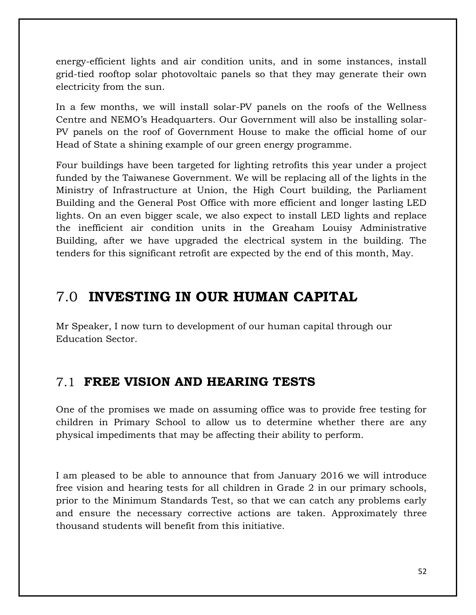energy-efficient lights and air condition units, and in some instances, install grid-tied rooftop solar photovoltaic panels so that they may generate their own electricity from the sun.

In a few months, we will install solar-PV panels on the roofs of the Wellness Centre and NEMO's Headquarters. Our Government will also be installing solar-PV panels on the roof of Government House to make the official home of our Head of State a shining example of our green energy programme.

Four buildings have been targeted for lighting retrofits this year under a project funded by the Taiwanese Government. We will be replacing all of the lights in the Ministry of Infrastructure at Union, the High Court building, the Parliament Building and the General Post Office with more efficient and longer lasting LED lights. On an even bigger scale, we also expect to install LED lights and replace the inefficient air condition units in the Greaham Louisy Administrative Building, after we have upgraded the electrical system in the building. The tenders for this significant retrofit are expected by the end of this month, May.

### 7.0 **INVESTING IN OUR HUMAN CAPITAL**

Mr Speaker, I now turn to development of our human capital through our Education Sector.

### 7.1 **FREE VISION AND HEARING TESTS**

One of the promises we made on assuming office was to provide free testing for children in Primary School to allow us to determine whether there are any physical impediments that may be affecting their ability to perform.

I am pleased to be able to announce that from January 2016 we will introduce free vision and hearing tests for all children in Grade 2 in our primary schools, prior to the Minimum Standards Test, so that we can catch any problems early and ensure the necessary corrective actions are taken. Approximately three thousand students will benefit from this initiative.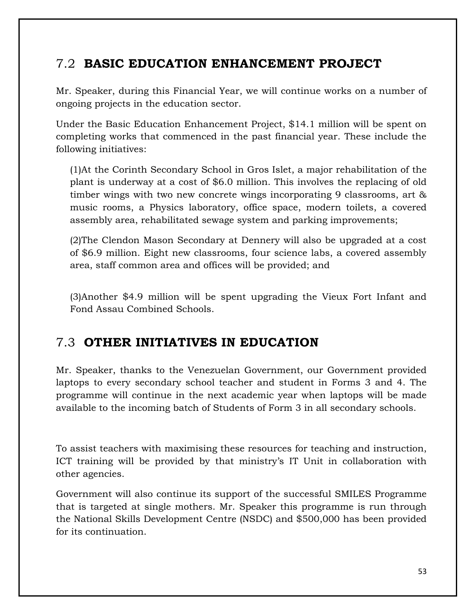### 7.2 **BASIC EDUCATION ENHANCEMENT PROJECT**

Mr. Speaker, during this Financial Year, we will continue works on a number of ongoing projects in the education sector.

Under the Basic Education Enhancement Project, \$14.1 million will be spent on completing works that commenced in the past financial year. These include the following initiatives:

(1)At the Corinth Secondary School in Gros Islet, a major rehabilitation of the plant is underway at a cost of \$6.0 million. This involves the replacing of old timber wings with two new concrete wings incorporating 9 classrooms, art & music rooms, a Physics laboratory, office space, modern toilets, a covered assembly area, rehabilitated sewage system and parking improvements;

(2)The Clendon Mason Secondary at Dennery will also be upgraded at a cost of \$6.9 million. Eight new classrooms, four science labs, a covered assembly area, staff common area and offices will be provided; and

(3)Another \$4.9 million will be spent upgrading the Vieux Fort Infant and Fond Assau Combined Schools.

### 7.3 **OTHER INITIATIVES IN EDUCATION**

Mr. Speaker, thanks to the Venezuelan Government, our Government provided laptops to every secondary school teacher and student in Forms 3 and 4. The programme will continue in the next academic year when laptops will be made available to the incoming batch of Students of Form 3 in all secondary schools.

To assist teachers with maximising these resources for teaching and instruction, ICT training will be provided by that ministry's IT Unit in collaboration with other agencies.

Government will also continue its support of the successful SMILES Programme that is targeted at single mothers. Mr. Speaker this programme is run through the National Skills Development Centre (NSDC) and \$500,000 has been provided for its continuation.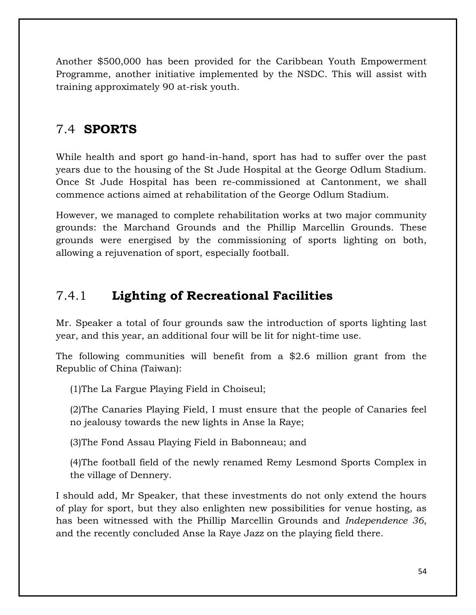Another \$500,000 has been provided for the Caribbean Youth Empowerment Programme, another initiative implemented by the NSDC. This will assist with training approximately 90 at-risk youth.

### 7.4 **SPORTS**

While health and sport go hand-in-hand, sport has had to suffer over the past years due to the housing of the St Jude Hospital at the George Odlum Stadium. Once St Jude Hospital has been re-commissioned at Cantonment, we shall commence actions aimed at rehabilitation of the George Odlum Stadium.

However, we managed to complete rehabilitation works at two major community grounds: the Marchand Grounds and the Phillip Marcellin Grounds. These grounds were energised by the commissioning of sports lighting on both, allowing a rejuvenation of sport, especially football.

### 7.4.1 **Lighting of Recreational Facilities**

Mr. Speaker a total of four grounds saw the introduction of sports lighting last year, and this year, an additional four will be lit for night-time use.

The following communities will benefit from a \$2.6 million grant from the Republic of China (Taiwan):

(1)The La Fargue Playing Field in Choiseul;

(2)The Canaries Playing Field, I must ensure that the people of Canaries feel no jealousy towards the new lights in Anse la Raye;

(3)The Fond Assau Playing Field in Babonneau; and

(4)The football field of the newly renamed Remy Lesmond Sports Complex in the village of Dennery.

I should add, Mr Speaker, that these investments do not only extend the hours of play for sport, but they also enlighten new possibilities for venue hosting, as has been witnessed with the Phillip Marcellin Grounds and *Independence 36*, and the recently concluded Anse la Raye Jazz on the playing field there.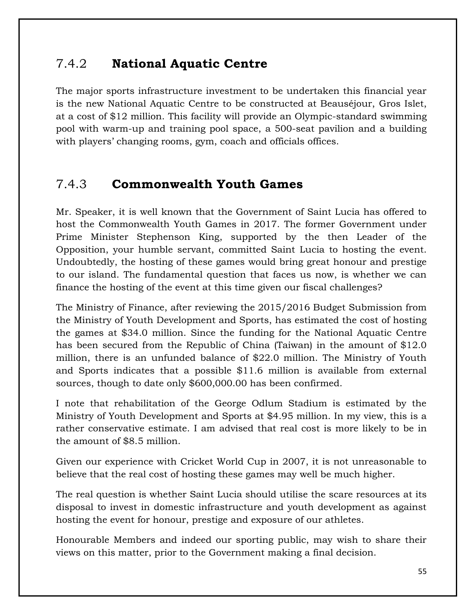### 7.4.2 **National Aquatic Centre**

The major sports infrastructure investment to be undertaken this financial year is the new National Aquatic Centre to be constructed at Beauséjour, Gros Islet, at a cost of \$12 million. This facility will provide an Olympic-standard swimming pool with warm-up and training pool space, a 500-seat pavilion and a building with players' changing rooms, gym, coach and officials offices.

### 7.4.3 **Commonwealth Youth Games**

Mr. Speaker, it is well known that the Government of Saint Lucia has offered to host the Commonwealth Youth Games in 2017. The former Government under Prime Minister Stephenson King, supported by the then Leader of the Opposition, your humble servant, committed Saint Lucia to hosting the event. Undoubtedly, the hosting of these games would bring great honour and prestige to our island. The fundamental question that faces us now, is whether we can finance the hosting of the event at this time given our fiscal challenges?

The Ministry of Finance, after reviewing the 2015/2016 Budget Submission from the Ministry of Youth Development and Sports, has estimated the cost of hosting the games at \$34.0 million. Since the funding for the National Aquatic Centre has been secured from the Republic of China (Taiwan) in the amount of \$12.0 million, there is an unfunded balance of \$22.0 million. The Ministry of Youth and Sports indicates that a possible \$11.6 million is available from external sources, though to date only \$600,000.00 has been confirmed.

I note that rehabilitation of the George Odlum Stadium is estimated by the Ministry of Youth Development and Sports at \$4.95 million. In my view, this is a rather conservative estimate. I am advised that real cost is more likely to be in the amount of \$8.5 million.

Given our experience with Cricket World Cup in 2007, it is not unreasonable to believe that the real cost of hosting these games may well be much higher.

The real question is whether Saint Lucia should utilise the scare resources at its disposal to invest in domestic infrastructure and youth development as against hosting the event for honour, prestige and exposure of our athletes.

Honourable Members and indeed our sporting public, may wish to share their views on this matter, prior to the Government making a final decision.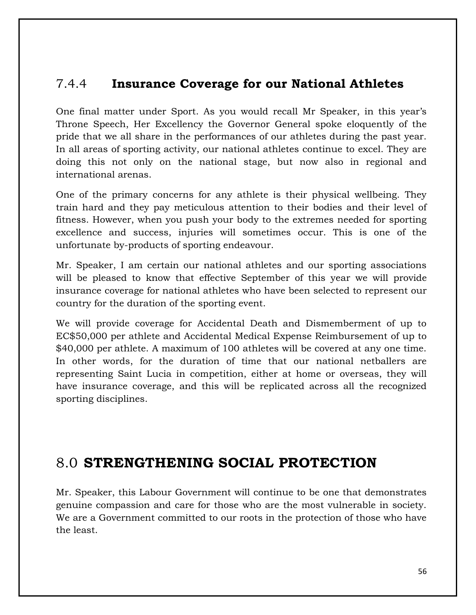### 7.4.4 **Insurance Coverage for our National Athletes**

One final matter under Sport. As you would recall Mr Speaker, in this year's Throne Speech, Her Excellency the Governor General spoke eloquently of the pride that we all share in the performances of our athletes during the past year. In all areas of sporting activity, our national athletes continue to excel. They are doing this not only on the national stage, but now also in regional and international arenas.

One of the primary concerns for any athlete is their physical wellbeing. They train hard and they pay meticulous attention to their bodies and their level of fitness. However, when you push your body to the extremes needed for sporting excellence and success, injuries will sometimes occur. This is one of the unfortunate by-products of sporting endeavour.

Mr. Speaker, I am certain our national athletes and our sporting associations will be pleased to know that effective September of this year we will provide insurance coverage for national athletes who have been selected to represent our country for the duration of the sporting event.

We will provide coverage for Accidental Death and Dismemberment of up to EC\$50,000 per athlete and Accidental Medical Expense Reimbursement of up to \$40,000 per athlete. A maximum of 100 athletes will be covered at any one time. In other words, for the duration of time that our national netballers are representing Saint Lucia in competition, either at home or overseas, they will have insurance coverage, and this will be replicated across all the recognized sporting disciplines.

### 8.0 **STRENGTHENING SOCIAL PROTECTION**

Mr. Speaker, this Labour Government will continue to be one that demonstrates genuine compassion and care for those who are the most vulnerable in society. We are a Government committed to our roots in the protection of those who have the least.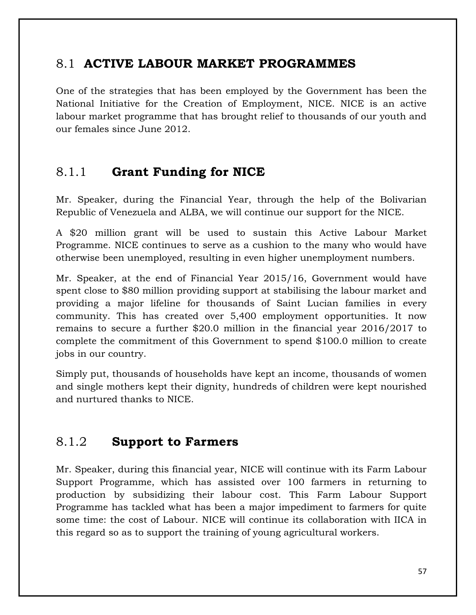### 8.1 **ACTIVE LABOUR MARKET PROGRAMMES**

One of the strategies that has been employed by the Government has been the National Initiative for the Creation of Employment, NICE. NICE is an active labour market programme that has brought relief to thousands of our youth and our females since June 2012.

### 8.1.1 **Grant Funding for NICE**

Mr. Speaker, during the Financial Year, through the help of the Bolivarian Republic of Venezuela and ALBA, we will continue our support for the NICE.

A \$20 million grant will be used to sustain this Active Labour Market Programme. NICE continues to serve as a cushion to the many who would have otherwise been unemployed, resulting in even higher unemployment numbers.

Mr. Speaker, at the end of Financial Year 2015/16, Government would have spent close to \$80 million providing support at stabilising the labour market and providing a major lifeline for thousands of Saint Lucian families in every community. This has created over 5,400 employment opportunities. It now remains to secure a further \$20.0 million in the financial year 2016/2017 to complete the commitment of this Government to spend \$100.0 million to create jobs in our country.

Simply put, thousands of households have kept an income, thousands of women and single mothers kept their dignity, hundreds of children were kept nourished and nurtured thanks to NICE.

### 8.1.2 **Support to Farmers**

Mr. Speaker, during this financial year, NICE will continue with its Farm Labour Support Programme, which has assisted over 100 farmers in returning to production by subsidizing their labour cost. This Farm Labour Support Programme has tackled what has been a major impediment to farmers for quite some time: the cost of Labour. NICE will continue its collaboration with IICA in this regard so as to support the training of young agricultural workers.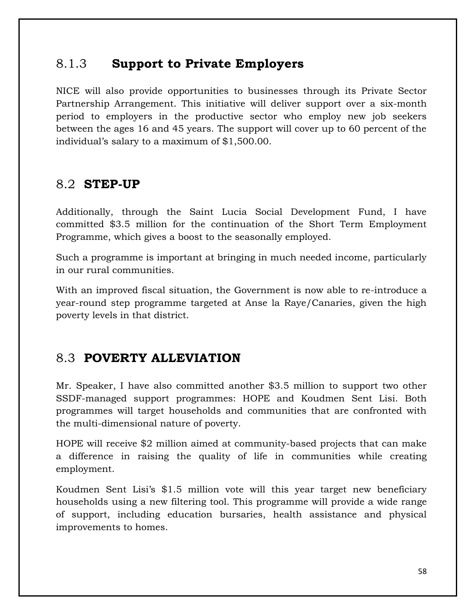#### 8.1.3 **Support to Private Employers**

NICE will also provide opportunities to businesses through its Private Sector Partnership Arrangement. This initiative will deliver support over a six-month period to employers in the productive sector who employ new job seekers between the ages 16 and 45 years. The support will cover up to 60 percent of the individual's salary to a maximum of \$1,500.00.

### 8.2 **STEP-UP**

Additionally, through the Saint Lucia Social Development Fund, I have committed \$3.5 million for the continuation of the Short Term Employment Programme, which gives a boost to the seasonally employed.

Such a programme is important at bringing in much needed income, particularly in our rural communities.

With an improved fiscal situation, the Government is now able to re-introduce a year-round step programme targeted at Anse la Raye/Canaries, given the high poverty levels in that district.

### 8.3 **POVERTY ALLEVIATION**

Mr. Speaker, I have also committed another \$3.5 million to support two other SSDF-managed support programmes: HOPE and Koudmen Sent Lisi. Both programmes will target households and communities that are confronted with the multi-dimensional nature of poverty.

HOPE will receive \$2 million aimed at community-based projects that can make a difference in raising the quality of life in communities while creating employment.

Koudmen Sent Lisi's \$1.5 million vote will this year target new beneficiary households using a new filtering tool. This programme will provide a wide range of support, including education bursaries, health assistance and physical improvements to homes.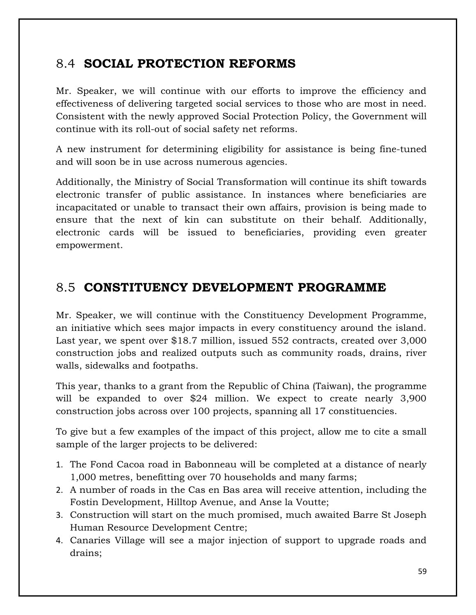### 8.4 **SOCIAL PROTECTION REFORMS**

Mr. Speaker, we will continue with our efforts to improve the efficiency and effectiveness of delivering targeted social services to those who are most in need. Consistent with the newly approved Social Protection Policy, the Government will continue with its roll-out of social safety net reforms.

A new instrument for determining eligibility for assistance is being fine-tuned and will soon be in use across numerous agencies.

Additionally, the Ministry of Social Transformation will continue its shift towards electronic transfer of public assistance. In instances where beneficiaries are incapacitated or unable to transact their own affairs, provision is being made to ensure that the next of kin can substitute on their behalf. Additionally, electronic cards will be issued to beneficiaries, providing even greater empowerment.

### 8.5 **CONSTITUENCY DEVELOPMENT PROGRAMME**

Mr. Speaker, we will continue with the Constituency Development Programme, an initiative which sees major impacts in every constituency around the island. Last year, we spent over \$18.7 million, issued 552 contracts, created over 3,000 construction jobs and realized outputs such as community roads, drains, river walls, sidewalks and footpaths.

This year, thanks to a grant from the Republic of China (Taiwan), the programme will be expanded to over \$24 million. We expect to create nearly 3,900 construction jobs across over 100 projects, spanning all 17 constituencies.

To give but a few examples of the impact of this project, allow me to cite a small sample of the larger projects to be delivered:

- 1. The Fond Cacoa road in Babonneau will be completed at a distance of nearly 1,000 metres, benefitting over 70 households and many farms;
- 2. A number of roads in the Cas en Bas area will receive attention, including the Fostin Development, Hilltop Avenue, and Anse la Voutte;
- 3. Construction will start on the much promised, much awaited Barre St Joseph Human Resource Development Centre;
- 4. Canaries Village will see a major injection of support to upgrade roads and drains;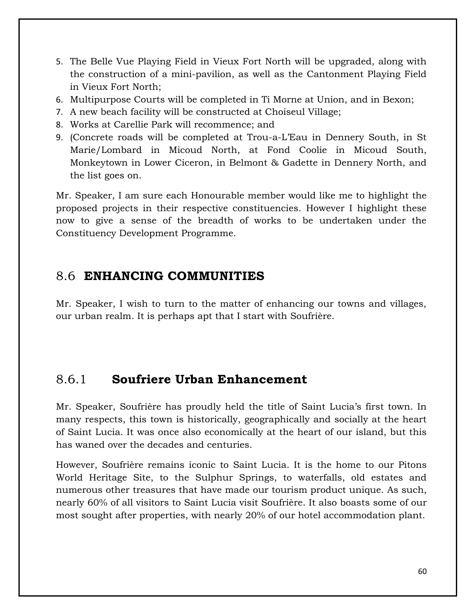- 5. The Belle Vue Playing Field in Vieux Fort North will be upgraded, along with the construction of a mini-pavilion, as well as the Cantonment Playing Field in Vieux Fort North;
- 6. Multipurpose Courts will be completed in Ti Morne at Union, and in Bexon;
- 7. A new beach facility will be constructed at Choiseul Village;
- 8. Works at Carellie Park will recommence; and
- 9. (Concrete roads will be completed at Trou-a-L'Eau in Dennery South, in St Marie/Lombard in Micoud North, at Fond Coolie in Micoud South, Monkeytown in Lower Ciceron, in Belmont & Gadette in Dennery North, and the list goes on.

Mr. Speaker, I am sure each Honourable member would like me to highlight the proposed projects in their respective constituencies. However I highlight these now to give a sense of the breadth of works to be undertaken under the Constituency Development Programme.

### 8.6 **ENHANCING COMMUNITIES**

Mr. Speaker, I wish to turn to the matter of enhancing our towns and villages, our urban realm. It is perhaps apt that I start with Soufrière.

### 8.6.1 **Soufriere Urban Enhancement**

Mr. Speaker, Soufrière has proudly held the title of Saint Lucia's first town. In many respects, this town is historically, geographically and socially at the heart of Saint Lucia. It was once also economically at the heart of our island, but this has waned over the decades and centuries.

However, Soufrière remains iconic to Saint Lucia. It is the home to our Pitons World Heritage Site, to the Sulphur Springs, to waterfalls, old estates and numerous other treasures that have made our tourism product unique. As such, nearly 60% of all visitors to Saint Lucia visit Soufrière. It also boasts some of our most sought after properties, with nearly 20% of our hotel accommodation plant.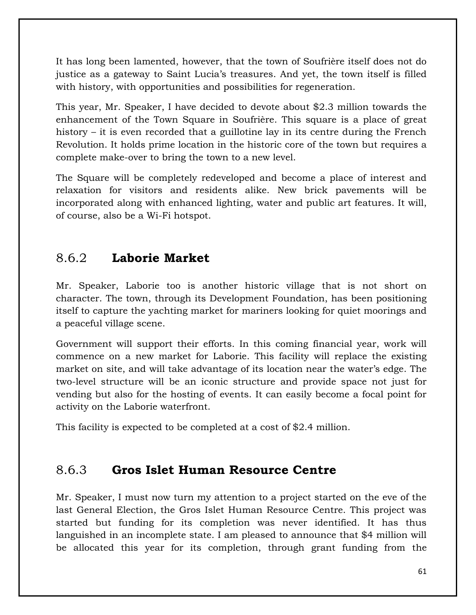It has long been lamented, however, that the town of Soufrière itself does not do justice as a gateway to Saint Lucia's treasures. And yet, the town itself is filled with history, with opportunities and possibilities for regeneration.

This year, Mr. Speaker, I have decided to devote about \$2.3 million towards the enhancement of the Town Square in Soufrière. This square is a place of great history – it is even recorded that a guillotine lay in its centre during the French Revolution. It holds prime location in the historic core of the town but requires a complete make-over to bring the town to a new level.

The Square will be completely redeveloped and become a place of interest and relaxation for visitors and residents alike. New brick pavements will be incorporated along with enhanced lighting, water and public art features. It will, of course, also be a Wi-Fi hotspot.

### 8.6.2 **Laborie Market**

Mr. Speaker, Laborie too is another historic village that is not short on character. The town, through its Development Foundation, has been positioning itself to capture the yachting market for mariners looking for quiet moorings and a peaceful village scene.

Government will support their efforts. In this coming financial year, work will commence on a new market for Laborie. This facility will replace the existing market on site, and will take advantage of its location near the water's edge. The two-level structure will be an iconic structure and provide space not just for vending but also for the hosting of events. It can easily become a focal point for activity on the Laborie waterfront.

This facility is expected to be completed at a cost of \$2.4 million.

### 8.6.3 **Gros Islet Human Resource Centre**

Mr. Speaker, I must now turn my attention to a project started on the eve of the last General Election, the Gros Islet Human Resource Centre. This project was started but funding for its completion was never identified. It has thus languished in an incomplete state. I am pleased to announce that \$4 million will be allocated this year for its completion, through grant funding from the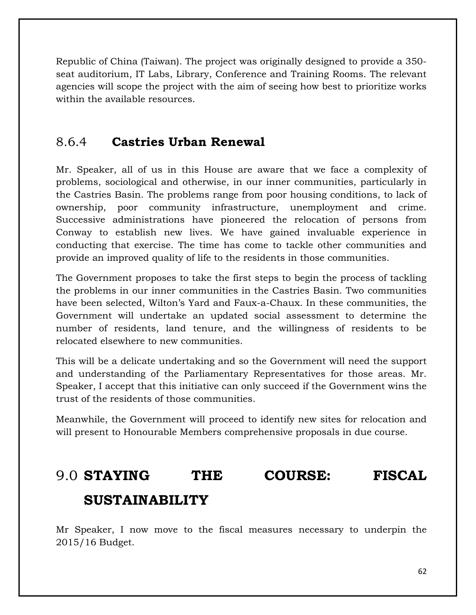Republic of China (Taiwan). The project was originally designed to provide a 350 seat auditorium, IT Labs, Library, Conference and Training Rooms. The relevant agencies will scope the project with the aim of seeing how best to prioritize works within the available resources.

### 8.6.4 **Castries Urban Renewal**

Mr. Speaker, all of us in this House are aware that we face a complexity of problems, sociological and otherwise, in our inner communities, particularly in the Castries Basin. The problems range from poor housing conditions, to lack of ownership, poor community infrastructure, unemployment and crime. Successive administrations have pioneered the relocation of persons from Conway to establish new lives. We have gained invaluable experience in conducting that exercise. The time has come to tackle other communities and provide an improved quality of life to the residents in those communities.

The Government proposes to take the first steps to begin the process of tackling the problems in our inner communities in the Castries Basin. Two communities have been selected, Wilton's Yard and Faux-a-Chaux. In these communities, the Government will undertake an updated social assessment to determine the number of residents, land tenure, and the willingness of residents to be relocated elsewhere to new communities.

This will be a delicate undertaking and so the Government will need the support and understanding of the Parliamentary Representatives for those areas. Mr. Speaker, I accept that this initiative can only succeed if the Government wins the trust of the residents of those communities.

Meanwhile, the Government will proceed to identify new sites for relocation and will present to Honourable Members comprehensive proposals in due course.

### 9.0 **STAYING THE COURSE: FISCAL**

### **SUSTAINABILITY**

Mr Speaker, I now move to the fiscal measures necessary to underpin the 2015/16 Budget.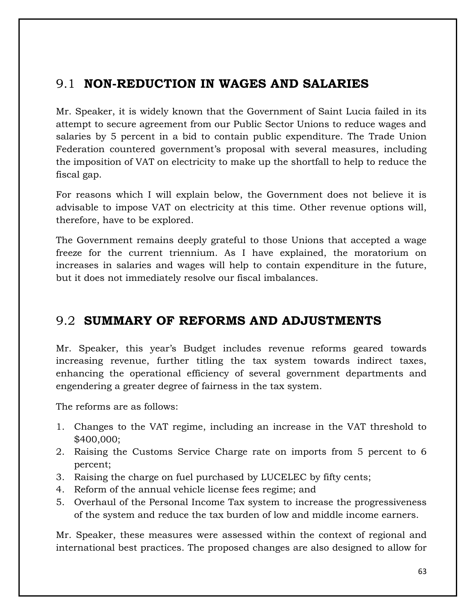### 9.1 **NON-REDUCTION IN WAGES AND SALARIES**

Mr. Speaker, it is widely known that the Government of Saint Lucia failed in its attempt to secure agreement from our Public Sector Unions to reduce wages and salaries by 5 percent in a bid to contain public expenditure. The Trade Union Federation countered government's proposal with several measures, including the imposition of VAT on electricity to make up the shortfall to help to reduce the fiscal gap.

For reasons which I will explain below, the Government does not believe it is advisable to impose VAT on electricity at this time. Other revenue options will, therefore, have to be explored.

The Government remains deeply grateful to those Unions that accepted a wage freeze for the current triennium. As I have explained, the moratorium on increases in salaries and wages will help to contain expenditure in the future, but it does not immediately resolve our fiscal imbalances.

### 9.2 **SUMMARY OF REFORMS AND ADJUSTMENTS**

Mr. Speaker, this year's Budget includes revenue reforms geared towards increasing revenue, further titling the tax system towards indirect taxes, enhancing the operational efficiency of several government departments and engendering a greater degree of fairness in the tax system.

The reforms are as follows:

- 1. Changes to the VAT regime, including an increase in the VAT threshold to \$400,000;
- 2. Raising the Customs Service Charge rate on imports from 5 percent to 6 percent;
- 3. Raising the charge on fuel purchased by LUCELEC by fifty cents;
- 4. Reform of the annual vehicle license fees regime; and
- 5. Overhaul of the Personal Income Tax system to increase the progressiveness of the system and reduce the tax burden of low and middle income earners.

Mr. Speaker, these measures were assessed within the context of regional and international best practices. The proposed changes are also designed to allow for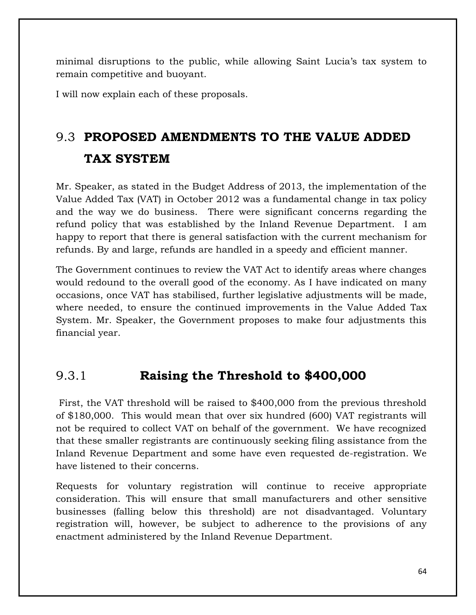minimal disruptions to the public, while allowing Saint Lucia's tax system to remain competitive and buoyant.

I will now explain each of these proposals.

## 9.3 **PROPOSED AMENDMENTS TO THE VALUE ADDED TAX SYSTEM**

Mr. Speaker, as stated in the Budget Address of 2013, the implementation of the Value Added Tax (VAT) in October 2012 was a fundamental change in tax policy and the way we do business. There were significant concerns regarding the refund policy that was established by the Inland Revenue Department. I am happy to report that there is general satisfaction with the current mechanism for refunds. By and large, refunds are handled in a speedy and efficient manner.

The Government continues to review the VAT Act to identify areas where changes would redound to the overall good of the economy. As I have indicated on many occasions, once VAT has stabilised, further legislative adjustments will be made, where needed, to ensure the continued improvements in the Value Added Tax System. Mr. Speaker, the Government proposes to make four adjustments this financial year.

### 9.3.1 **Raising the Threshold to \$400,000**

First, the VAT threshold will be raised to \$400,000 from the previous threshold of \$180,000. This would mean that over six hundred (600) VAT registrants will not be required to collect VAT on behalf of the government. We have recognized that these smaller registrants are continuously seeking filing assistance from the Inland Revenue Department and some have even requested de-registration. We have listened to their concerns.

Requests for voluntary registration will continue to receive appropriate consideration. This will ensure that small manufacturers and other sensitive businesses (falling below this threshold) are not disadvantaged. Voluntary registration will, however, be subject to adherence to the provisions of any enactment administered by the Inland Revenue Department.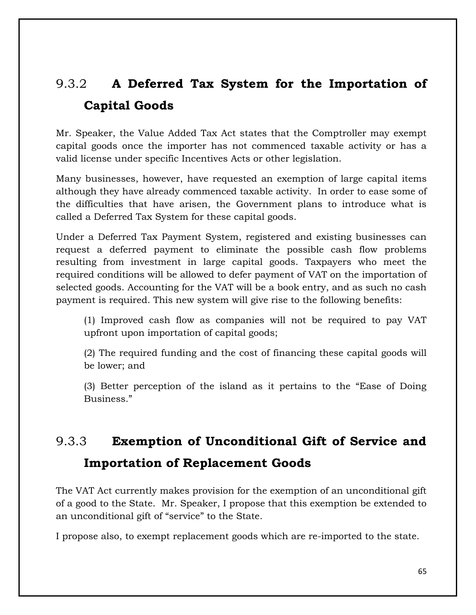## 9.3.2 **A Deferred Tax System for the Importation of Capital Goods**

Mr. Speaker, the Value Added Tax Act states that the Comptroller may exempt capital goods once the importer has not commenced taxable activity or has a valid license under specific Incentives Acts or other legislation.

Many businesses, however, have requested an exemption of large capital items although they have already commenced taxable activity. In order to ease some of the difficulties that have arisen, the Government plans to introduce what is called a Deferred Tax System for these capital goods.

Under a Deferred Tax Payment System, registered and existing businesses can request a deferred payment to eliminate the possible cash flow problems resulting from investment in large capital goods. Taxpayers who meet the required conditions will be allowed to defer payment of VAT on the importation of selected goods. Accounting for the VAT will be a book entry, and as such no cash payment is required. This new system will give rise to the following benefits:

(1) Improved cash flow as companies will not be required to pay VAT upfront upon importation of capital goods;

(2) The required funding and the cost of financing these capital goods will be lower; and

(3) Better perception of the island as it pertains to the "Ease of Doing Business."

# 9.3.3 **Exemption of Unconditional Gift of Service and**

### **Importation of Replacement Goods**

The VAT Act currently makes provision for the exemption of an unconditional gift of a good to the State. Mr. Speaker, I propose that this exemption be extended to an unconditional gift of "service" to the State.

I propose also, to exempt replacement goods which are re-imported to the state.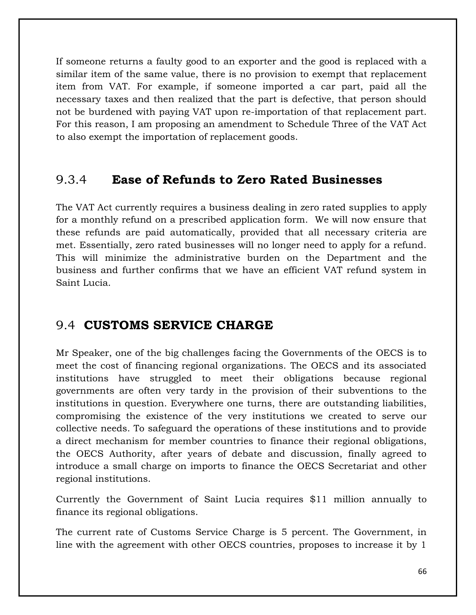If someone returns a faulty good to an exporter and the good is replaced with a similar item of the same value, there is no provision to exempt that replacement item from VAT. For example, if someone imported a car part, paid all the necessary taxes and then realized that the part is defective, that person should not be burdened with paying VAT upon re-importation of that replacement part. For this reason, I am proposing an amendment to Schedule Three of the VAT Act to also exempt the importation of replacement goods.

### 9.3.4 **Ease of Refunds to Zero Rated Businesses**

The VAT Act currently requires a business dealing in zero rated supplies to apply for a monthly refund on a prescribed application form. We will now ensure that these refunds are paid automatically, provided that all necessary criteria are met. Essentially, zero rated businesses will no longer need to apply for a refund. This will minimize the administrative burden on the Department and the business and further confirms that we have an efficient VAT refund system in Saint Lucia.

### 9.4 **CUSTOMS SERVICE CHARGE**

Mr Speaker, one of the big challenges facing the Governments of the OECS is to meet the cost of financing regional organizations. The OECS and its associated institutions have struggled to meet their obligations because regional governments are often very tardy in the provision of their subventions to the institutions in question. Everywhere one turns, there are outstanding liabilities, compromising the existence of the very institutions we created to serve our collective needs. To safeguard the operations of these institutions and to provide a direct mechanism for member countries to finance their regional obligations, the OECS Authority, after years of debate and discussion, finally agreed to introduce a small charge on imports to finance the OECS Secretariat and other regional institutions.

Currently the Government of Saint Lucia requires \$11 million annually to finance its regional obligations.

The current rate of Customs Service Charge is 5 percent. The Government, in line with the agreement with other OECS countries, proposes to increase it by 1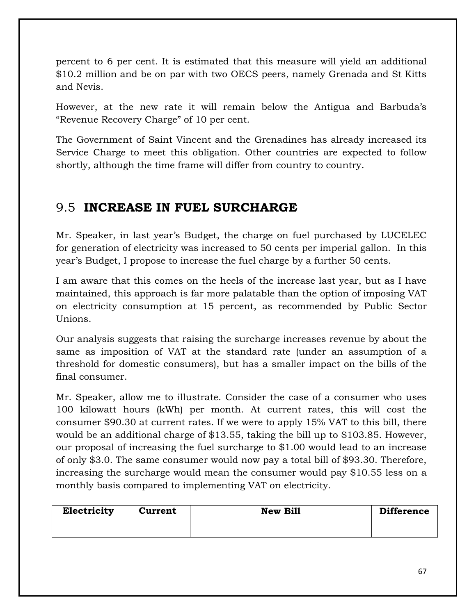percent to 6 per cent. It is estimated that this measure will yield an additional \$10.2 million and be on par with two OECS peers, namely Grenada and St Kitts and Nevis.

However, at the new rate it will remain below the Antigua and Barbuda's "Revenue Recovery Charge" of 10 per cent.

The Government of Saint Vincent and the Grenadines has already increased its Service Charge to meet this obligation. Other countries are expected to follow shortly, although the time frame will differ from country to country.

### 9.5 **INCREASE IN FUEL SURCHARGE**

Mr. Speaker, in last year's Budget, the charge on fuel purchased by LUCELEC for generation of electricity was increased to 50 cents per imperial gallon. In this year's Budget, I propose to increase the fuel charge by a further 50 cents.

I am aware that this comes on the heels of the increase last year, but as I have maintained, this approach is far more palatable than the option of imposing VAT on electricity consumption at 15 percent, as recommended by Public Sector Unions.

Our analysis suggests that raising the surcharge increases revenue by about the same as imposition of VAT at the standard rate (under an assumption of a threshold for domestic consumers), but has a smaller impact on the bills of the final consumer.

Mr. Speaker, allow me to illustrate. Consider the case of a consumer who uses 100 kilowatt hours (kWh) per month. At current rates, this will cost the consumer \$90.30 at current rates. If we were to apply 15% VAT to this bill, there would be an additional charge of \$13.55, taking the bill up to \$103.85. However, our proposal of increasing the fuel surcharge to \$1.00 would lead to an increase of only \$3.0. The same consumer would now pay a total bill of \$93.30. Therefore, increasing the surcharge would mean the consumer would pay \$10.55 less on a monthly basis compared to implementing VAT on electricity.

| Electricity | <b>Current</b> | <b>New Bill</b> | <b>Difference</b> |
|-------------|----------------|-----------------|-------------------|
|             |                |                 |                   |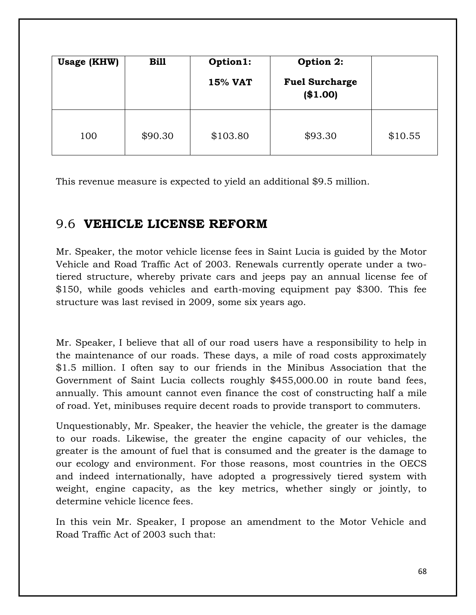| <b>Usage (KHW)</b> | <b>Bill</b> | Option1:<br><b>15% VAT</b> | Option 2:<br><b>Fuel Surcharge</b><br>(\$1.00) |         |
|--------------------|-------------|----------------------------|------------------------------------------------|---------|
| 100                | \$90.30     | \$103.80                   | \$93.30                                        | \$10.55 |

This revenue measure is expected to yield an additional \$9.5 million.

#### 9.6 **VEHICLE LICENSE REFORM**

Mr. Speaker, the motor vehicle license fees in Saint Lucia is guided by the Motor Vehicle and Road Traffic Act of 2003. Renewals currently operate under a twotiered structure, whereby private cars and jeeps pay an annual license fee of \$150, while goods vehicles and earth-moving equipment pay \$300. This fee structure was last revised in 2009, some six years ago.

Mr. Speaker, I believe that all of our road users have a responsibility to help in the maintenance of our roads. These days, a mile of road costs approximately \$1.5 million. I often say to our friends in the Minibus Association that the Government of Saint Lucia collects roughly \$455,000.00 in route band fees, annually. This amount cannot even finance the cost of constructing half a mile of road. Yet, minibuses require decent roads to provide transport to commuters.

Unquestionably, Mr. Speaker, the heavier the vehicle, the greater is the damage to our roads. Likewise, the greater the engine capacity of our vehicles, the greater is the amount of fuel that is consumed and the greater is the damage to our ecology and environment. For those reasons, most countries in the OECS and indeed internationally, have adopted a progressively tiered system with weight, engine capacity, as the key metrics, whether singly or jointly, to determine vehicle licence fees.

In this vein Mr. Speaker, I propose an amendment to the Motor Vehicle and Road Traffic Act of 2003 such that: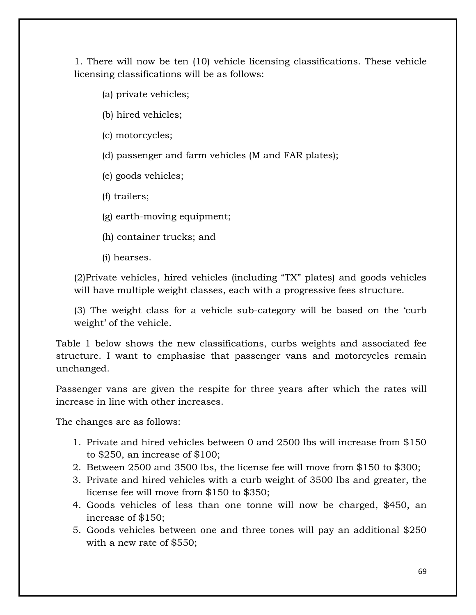1. There will now be ten (10) vehicle licensing classifications. These vehicle licensing classifications will be as follows:

- (a) private vehicles;
- (b) hired vehicles;
- (c) motorcycles;
- (d) passenger and farm vehicles (M and FAR plates);
- (e) goods vehicles;
- (f) trailers;
- (g) earth-moving equipment;
- (h) container trucks; and
- (i) hearses.

(2)Private vehicles, hired vehicles (including "TX" plates) and goods vehicles will have multiple weight classes, each with a progressive fees structure.

(3) The weight class for a vehicle sub-category will be based on the 'curb weight' of the vehicle.

Table 1 below shows the new classifications, curbs weights and associated fee structure. I want to emphasise that passenger vans and motorcycles remain unchanged.

Passenger vans are given the respite for three years after which the rates will increase in line with other increases.

The changes are as follows:

- 1. Private and hired vehicles between 0 and 2500 lbs will increase from \$150 to \$250, an increase of \$100;
- 2. Between 2500 and 3500 lbs, the license fee will move from \$150 to \$300;
- 3. Private and hired vehicles with a curb weight of 3500 lbs and greater, the license fee will move from \$150 to \$350;
- 4. Goods vehicles of less than one tonne will now be charged, \$450, an increase of \$150;
- 5. Goods vehicles between one and three tones will pay an additional \$250 with a new rate of \$550;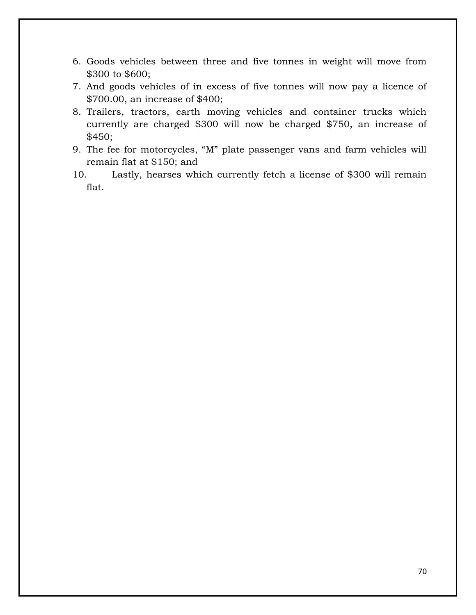- 6. Goods vehicles between three and five tonnes in weight will move from \$300 to \$600;
- 7. And goods vehicles of in excess of five tonnes will now pay a licence of \$700.00, an increase of \$400;
- 8. Trailers, tractors, earth moving vehicles and container trucks which currently are charged \$300 will now be charged \$750, an increase of \$450;
- 9. The fee for motorcycles, "M" plate passenger vans and farm vehicles will remain flat at \$150; and
- 10. Lastly, hearses which currently fetch a license of \$300 will remain flat.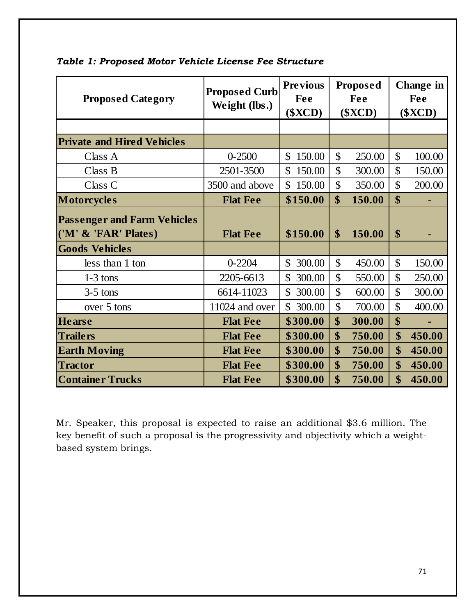| <b>Proposed Category</b>                                   | <b>Proposed Curb</b><br>Weight (lbs.) | <b>Previous</b><br>Fee<br>( <b>SKCD</b> ) |                   | <b>Proposed</b><br>Fee<br>( <b>SKCD</b> ) | <b>Change in</b><br>Fee<br>( <b>SKCD</b> ) |        |
|------------------------------------------------------------|---------------------------------------|-------------------------------------------|-------------------|-------------------------------------------|--------------------------------------------|--------|
|                                                            |                                       |                                           |                   |                                           |                                            |        |
| <b>Private and Hired Vehicles</b>                          |                                       |                                           |                   |                                           |                                            |        |
| Class A                                                    | $0 - 2500$                            | $\mathbb{S}$<br>150.00                    | $\mathcal{S}$     | 250.00                                    | \$                                         | 100.00 |
| Class B                                                    | 2501-3500                             | 150.00<br>$\mathbb{S}$                    | $\mathcal{S}$     | 300.00                                    | $\mathcal{S}$                              | 150.00 |
| Class C                                                    | 3500 and above                        | 150.00<br>$\mathbb{S}^-$                  | $\mathsf{\$}$     | 350.00                                    | \$                                         | 200.00 |
| <b>Motorcycles</b>                                         | <b>Flat Fee</b>                       | \$150.00                                  | \$                | 150.00                                    | $\boldsymbol{\$}$                          |        |
| <b>Passenger and Farm Vehicles</b><br>('M' & 'FAR' Plates) | <b>Flat Fee</b>                       | \$150.00                                  | $\boldsymbol{\$}$ | 150.00                                    | \$                                         |        |
| <b>Goods Vehicles</b>                                      |                                       |                                           |                   |                                           |                                            |        |
| less than 1 ton                                            | $0 - 2204$                            | 300.00<br>$\mathbb{S}$                    | $\mathcal{S}$     | 450.00                                    | $\mathcal{S}$                              | 150.00 |
| $1-3$ tons                                                 | 2205-6613                             | $\mathbb{S}$<br>300.00                    | $\mathsf{\$}$     | 550.00                                    | $\mathcal{S}$                              | 250.00 |
| $3-5$ tons                                                 | 6614-11023                            | 300.00<br>$\mathbb{S}$                    | $\mathcal{S}$     | 600.00                                    | $\mathcal{S}$                              | 300.00 |
| over 5 tons                                                | 11024 and over                        | \$ 300.00                                 | $\mathcal{S}$     | 700.00                                    | $\mathbf{\hat{S}}$                         | 400.00 |
| <b>Hearse</b>                                              | <b>Flat Fee</b>                       | \$300.00                                  | \$                | 300.00                                    | \$                                         |        |
| <b>Trailers</b>                                            | <b>Flat Fee</b>                       | \$300.00                                  | \$                | 750.00                                    | \$                                         | 450.00 |
| <b>Earth Moving</b>                                        | <b>Flat Fee</b>                       | \$300.00                                  | \$                | 750.00                                    | \$                                         | 450.00 |
| <b>Tractor</b>                                             | <b>Flat Fee</b>                       | \$300.00                                  | \$                | 750.00                                    | \$                                         | 450.00 |
| <b>Container Trucks</b>                                    | <b>Flat Fee</b>                       | \$300.00                                  | \$                | 750.00                                    | \$                                         | 450.00 |

*Table 1: Proposed Motor Vehicle License Fee Structure*

Mr. Speaker, this proposal is expected to raise an additional \$3.6 million. The key benefit of such a proposal is the progressivity and objectivity which a weightbased system brings.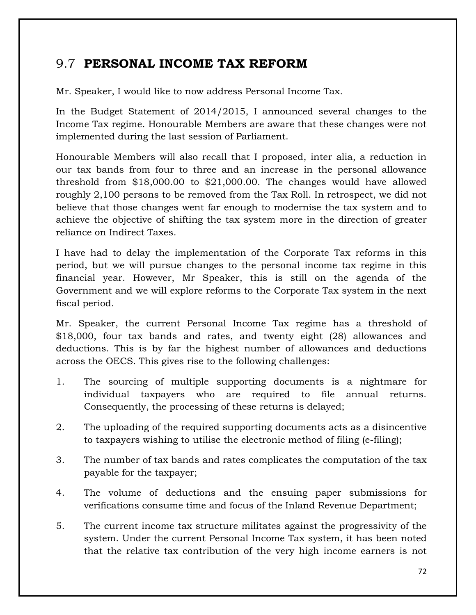### 9.7 **PERSONAL INCOME TAX REFORM**

Mr. Speaker, I would like to now address Personal Income Tax.

In the Budget Statement of 2014/2015, I announced several changes to the Income Tax regime. Honourable Members are aware that these changes were not implemented during the last session of Parliament.

Honourable Members will also recall that I proposed, inter alia, a reduction in our tax bands from four to three and an increase in the personal allowance threshold from \$18,000.00 to \$21,000.00. The changes would have allowed roughly 2,100 persons to be removed from the Tax Roll. In retrospect, we did not believe that those changes went far enough to modernise the tax system and to achieve the objective of shifting the tax system more in the direction of greater reliance on Indirect Taxes.

I have had to delay the implementation of the Corporate Tax reforms in this period, but we will pursue changes to the personal income tax regime in this financial year. However, Mr Speaker, this is still on the agenda of the Government and we will explore reforms to the Corporate Tax system in the next fiscal period.

Mr. Speaker, the current Personal Income Tax regime has a threshold of \$18,000, four tax bands and rates, and twenty eight (28) allowances and deductions. This is by far the highest number of allowances and deductions across the OECS. This gives rise to the following challenges:

- 1. The sourcing of multiple supporting documents is a nightmare for individual taxpayers who are required to file annual returns. Consequently, the processing of these returns is delayed;
- 2. The uploading of the required supporting documents acts as a disincentive to taxpayers wishing to utilise the electronic method of filing (e-filing);
- 3. The number of tax bands and rates complicates the computation of the tax payable for the taxpayer;
- 4. The volume of deductions and the ensuing paper submissions for verifications consume time and focus of the Inland Revenue Department;
- 5. The current income tax structure militates against the progressivity of the system. Under the current Personal Income Tax system, it has been noted that the relative tax contribution of the very high income earners is not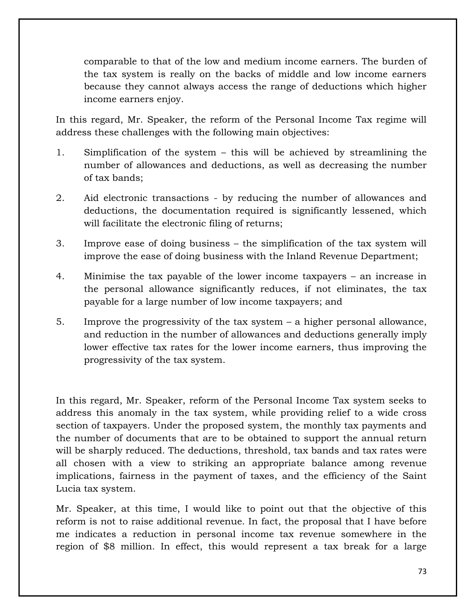comparable to that of the low and medium income earners. The burden of the tax system is really on the backs of middle and low income earners because they cannot always access the range of deductions which higher income earners enjoy.

In this regard, Mr. Speaker, the reform of the Personal Income Tax regime will address these challenges with the following main objectives:

- 1. Simplification of the system this will be achieved by streamlining the number of allowances and deductions, as well as decreasing the number of tax bands;
- 2. Aid electronic transactions by reducing the number of allowances and deductions, the documentation required is significantly lessened, which will facilitate the electronic filing of returns;
- 3. Improve ease of doing business the simplification of the tax system will improve the ease of doing business with the Inland Revenue Department;
- 4. Minimise the tax payable of the lower income taxpayers an increase in the personal allowance significantly reduces, if not eliminates, the tax payable for a large number of low income taxpayers; and
- 5. Improve the progressivity of the tax system a higher personal allowance, and reduction in the number of allowances and deductions generally imply lower effective tax rates for the lower income earners, thus improving the progressivity of the tax system.

In this regard, Mr. Speaker, reform of the Personal Income Tax system seeks to address this anomaly in the tax system, while providing relief to a wide cross section of taxpayers. Under the proposed system, the monthly tax payments and the number of documents that are to be obtained to support the annual return will be sharply reduced. The deductions, threshold, tax bands and tax rates were all chosen with a view to striking an appropriate balance among revenue implications, fairness in the payment of taxes, and the efficiency of the Saint Lucia tax system.

Mr. Speaker, at this time, I would like to point out that the objective of this reform is not to raise additional revenue. In fact, the proposal that I have before me indicates a reduction in personal income tax revenue somewhere in the region of \$8 million. In effect, this would represent a tax break for a large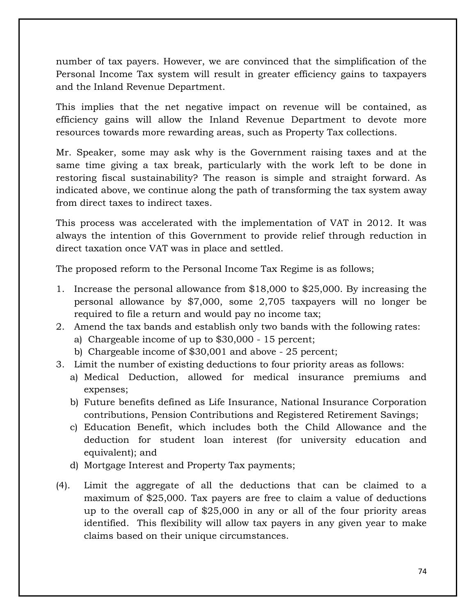number of tax payers. However, we are convinced that the simplification of the Personal Income Tax system will result in greater efficiency gains to taxpayers and the Inland Revenue Department.

This implies that the net negative impact on revenue will be contained, as efficiency gains will allow the Inland Revenue Department to devote more resources towards more rewarding areas, such as Property Tax collections.

Mr. Speaker, some may ask why is the Government raising taxes and at the same time giving a tax break, particularly with the work left to be done in restoring fiscal sustainability? The reason is simple and straight forward. As indicated above, we continue along the path of transforming the tax system away from direct taxes to indirect taxes.

This process was accelerated with the implementation of VAT in 2012. It was always the intention of this Government to provide relief through reduction in direct taxation once VAT was in place and settled.

The proposed reform to the Personal Income Tax Regime is as follows;

- 1. Increase the personal allowance from \$18,000 to \$25,000. By increasing the personal allowance by \$7,000, some 2,705 taxpayers will no longer be required to file a return and would pay no income tax;
- 2. Amend the tax bands and establish only two bands with the following rates:
	- a) Chargeable income of up to \$30,000 15 percent;
	- b) Chargeable income of \$30,001 and above 25 percent;
- 3. Limit the number of existing deductions to four priority areas as follows:
	- a) Medical Deduction, allowed for medical insurance premiums and expenses;
	- b) Future benefits defined as Life Insurance, National Insurance Corporation contributions, Pension Contributions and Registered Retirement Savings;
	- c) Education Benefit, which includes both the Child Allowance and the deduction for student loan interest (for university education and equivalent); and
	- d) Mortgage Interest and Property Tax payments;
- (4). Limit the aggregate of all the deductions that can be claimed to a maximum of \$25,000. Tax payers are free to claim a value of deductions up to the overall cap of \$25,000 in any or all of the four priority areas identified. This flexibility will allow tax payers in any given year to make claims based on their unique circumstances.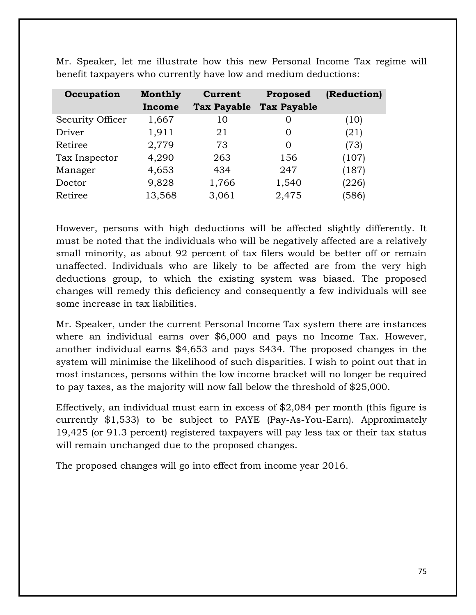| Occupation       | <b>Monthly</b> | <b>Current</b>     | Proposed           | (Reduction) |
|------------------|----------------|--------------------|--------------------|-------------|
|                  | Income         | <b>Tax Payable</b> | <b>Tax Payable</b> |             |
| Security Officer | 1,667          | 10                 | $\Omega$           | (10)        |
| Driver           | 1,911          | 21                 | $\Omega$           | (21)        |
| Retiree          | 2,779          | 73                 | $\Omega$           | (73)        |
| Tax Inspector    | 4,290          | 263                | 156                | (107)       |
| Manager          | 4,653          | 434                | 247                | (187)       |
| Doctor           | 9,828          | 1,766              | 1,540              | (226)       |
| Retiree          | 13,568         | 3,061              | 2,475              | (586)       |

Mr. Speaker, let me illustrate how this new Personal Income Tax regime will benefit taxpayers who currently have low and medium deductions:

However, persons with high deductions will be affected slightly differently. It must be noted that the individuals who will be negatively affected are a relatively small minority, as about 92 percent of tax filers would be better off or remain unaffected. Individuals who are likely to be affected are from the very high deductions group, to which the existing system was biased. The proposed changes will remedy this deficiency and consequently a few individuals will see some increase in tax liabilities.

Mr. Speaker, under the current Personal Income Tax system there are instances where an individual earns over \$6,000 and pays no Income Tax. However, another individual earns \$4,653 and pays \$434. The proposed changes in the system will minimise the likelihood of such disparities. I wish to point out that in most instances, persons within the low income bracket will no longer be required to pay taxes, as the majority will now fall below the threshold of \$25,000.

Effectively, an individual must earn in excess of \$2,084 per month (this figure is currently \$1,533) to be subject to PAYE (Pay-As-You-Earn). Approximately 19,425 (or 91.3 percent) registered taxpayers will pay less tax or their tax status will remain unchanged due to the proposed changes.

The proposed changes will go into effect from income year 2016.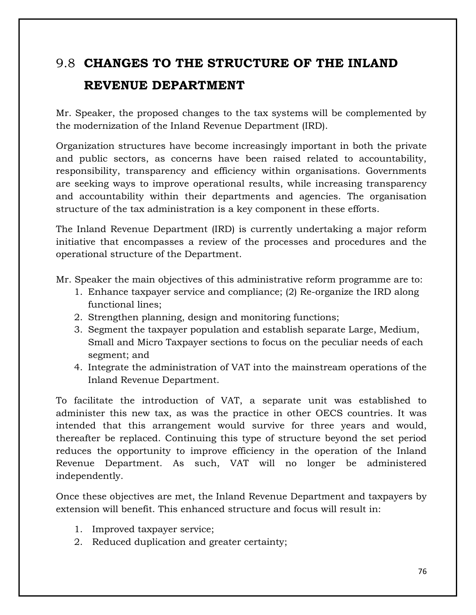# 9.8 **CHANGES TO THE STRUCTURE OF THE INLAND REVENUE DEPARTMENT**

Mr. Speaker, the proposed changes to the tax systems will be complemented by the modernization of the Inland Revenue Department (IRD).

Organization structures have become increasingly important in both the private and public sectors, as concerns have been raised related to accountability, responsibility, transparency and efficiency within organisations. Governments are seeking ways to improve operational results, while increasing transparency and accountability within their departments and agencies. The organisation structure of the tax administration is a key component in these efforts.

The Inland Revenue Department (IRD) is currently undertaking a major reform initiative that encompasses a review of the processes and procedures and the operational structure of the Department.

Mr. Speaker the main objectives of this administrative reform programme are to:

- 1. Enhance taxpayer service and compliance; (2) Re-organize the IRD along functional lines;
- 2. Strengthen planning, design and monitoring functions;
- 3. Segment the taxpayer population and establish separate Large, Medium, Small and Micro Taxpayer sections to focus on the peculiar needs of each segment; and
- 4. Integrate the administration of VAT into the mainstream operations of the Inland Revenue Department.

To facilitate the introduction of VAT, a separate unit was established to administer this new tax, as was the practice in other OECS countries. It was intended that this arrangement would survive for three years and would, thereafter be replaced. Continuing this type of structure beyond the set period reduces the opportunity to improve efficiency in the operation of the Inland Revenue Department. As such, VAT will no longer be administered independently.

Once these objectives are met, the Inland Revenue Department and taxpayers by extension will benefit. This enhanced structure and focus will result in:

- 1. Improved taxpayer service;
- 2. Reduced duplication and greater certainty;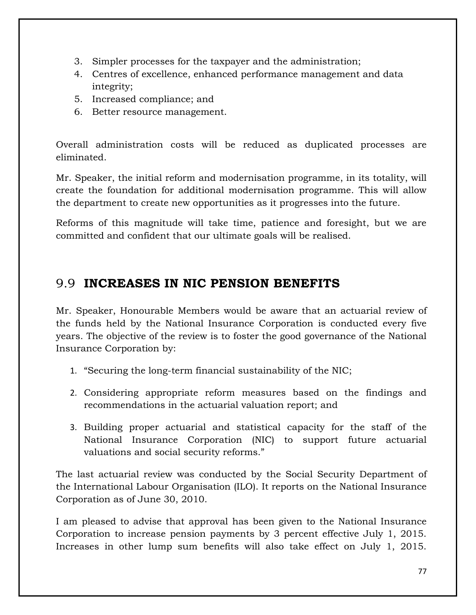- 3. Simpler processes for the taxpayer and the administration;
- 4. Centres of excellence, enhanced performance management and data integrity;
- 5. Increased compliance; and
- 6. Better resource management.

Overall administration costs will be reduced as duplicated processes are eliminated.

Mr. Speaker, the initial reform and modernisation programme, in its totality, will create the foundation for additional modernisation programme. This will allow the department to create new opportunities as it progresses into the future.

Reforms of this magnitude will take time, patience and foresight, but we are committed and confident that our ultimate goals will be realised.

### 9.9 **INCREASES IN NIC PENSION BENEFITS**

Mr. Speaker, Honourable Members would be aware that an actuarial review of the funds held by the National Insurance Corporation is conducted every five years. The objective of the review is to foster the good governance of the National Insurance Corporation by:

- 1. "Securing the long-term financial sustainability of the NIC;
- 2. Considering appropriate reform measures based on the findings and recommendations in the actuarial valuation report; and
- 3. Building proper actuarial and statistical capacity for the staff of the National Insurance Corporation (NIC) to support future actuarial valuations and social security reforms."

The last actuarial review was conducted by the Social Security Department of the International Labour Organisation (ILO). It reports on the National Insurance Corporation as of June 30, 2010.

I am pleased to advise that approval has been given to the National Insurance Corporation to increase pension payments by 3 percent effective July 1, 2015. Increases in other lump sum benefits will also take effect on July 1, 2015.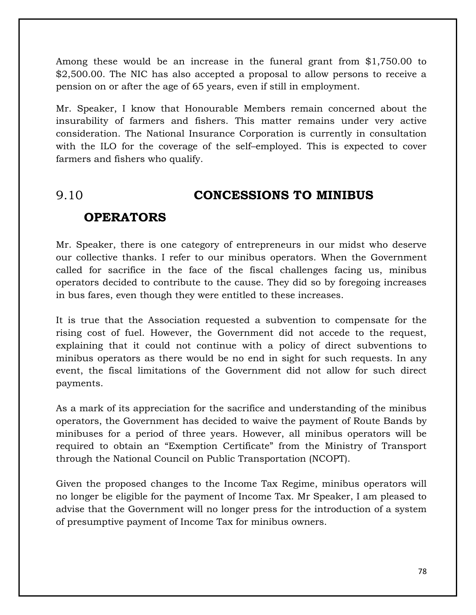Among these would be an increase in the funeral grant from \$1,750.00 to \$2,500.00. The NIC has also accepted a proposal to allow persons to receive a pension on or after the age of 65 years, even if still in employment.

Mr. Speaker, I know that Honourable Members remain concerned about the insurability of farmers and fishers. This matter remains under very active consideration. The National Insurance Corporation is currently in consultation with the ILO for the coverage of the self–employed. This is expected to cover farmers and fishers who qualify.

## 9.10 **CONCESSIONS TO MINIBUS**

#### **OPERATORS**

Mr. Speaker, there is one category of entrepreneurs in our midst who deserve our collective thanks. I refer to our minibus operators. When the Government called for sacrifice in the face of the fiscal challenges facing us, minibus operators decided to contribute to the cause. They did so by foregoing increases in bus fares, even though they were entitled to these increases.

It is true that the Association requested a subvention to compensate for the rising cost of fuel. However, the Government did not accede to the request, explaining that it could not continue with a policy of direct subventions to minibus operators as there would be no end in sight for such requests. In any event, the fiscal limitations of the Government did not allow for such direct payments.

As a mark of its appreciation for the sacrifice and understanding of the minibus operators, the Government has decided to waive the payment of Route Bands by minibuses for a period of three years. However, all minibus operators will be required to obtain an "Exemption Certificate" from the Ministry of Transport through the National Council on Public Transportation (NCOPT).

Given the proposed changes to the Income Tax Regime, minibus operators will no longer be eligible for the payment of Income Tax. Mr Speaker, I am pleased to advise that the Government will no longer press for the introduction of a system of presumptive payment of Income Tax for minibus owners.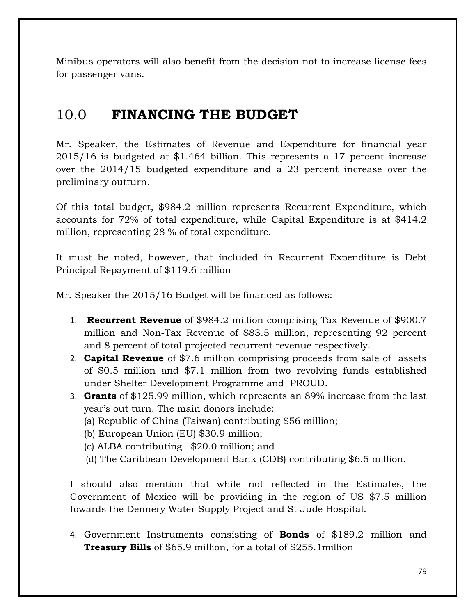Minibus operators will also benefit from the decision not to increase license fees for passenger vans.

### 10.0 **FINANCING THE BUDGET**

Mr. Speaker, the Estimates of Revenue and Expenditure for financial year 2015/16 is budgeted at \$1.464 billion. This represents a 17 percent increase over the 2014/15 budgeted expenditure and a 23 percent increase over the preliminary outturn.

Of this total budget, \$984.2 million represents Recurrent Expenditure, which accounts for 72% of total expenditure, while Capital Expenditure is at \$414.2 million, representing 28 % of total expenditure.

It must be noted, however, that included in Recurrent Expenditure is Debt Principal Repayment of \$119.6 million

Mr. Speaker the 2015/16 Budget will be financed as follows:

- 1. **Recurrent Revenue** of \$984.2 million comprising Tax Revenue of \$900.7 million and Non-Tax Revenue of \$83.5 million, representing 92 percent and 8 percent of total projected recurrent revenue respectively.
- 2. **Capital Revenue** of \$7.6 million comprising proceeds from sale of assets of \$0.5 million and \$7.1 million from two revolving funds established under Shelter Development Programme and PROUD.
- 3. **Grants** of \$125.99 million, which represents an 89% increase from the last year's out turn. The main donors include:
	- (a) Republic of China (Taiwan) contributing \$56 million;
	- (b) European Union (EU) \$30.9 million;
	- (c) ALBA contributing \$20.0 million; and
	- (d) The Caribbean Development Bank (CDB) contributing \$6.5 million.

I should also mention that while not reflected in the Estimates, the Government of Mexico will be providing in the region of US \$7.5 million towards the Dennery Water Supply Project and St Jude Hospital.

4. Government Instruments consisting of **Bonds** of \$189.2 million and **Treasury Bills** of \$65.9 million, for a total of \$255.1million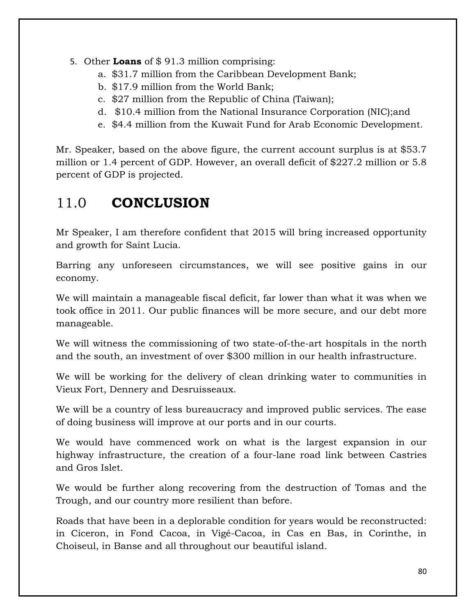- 5. Other **Loans** of \$ 91.3 million comprising:
	- a. \$31.7 million from the Caribbean Development Bank;
	- b. \$17.9 million from the World Bank;
	- c. \$27 million from the Republic of China (Taiwan);
	- d. \$10.4 million from the National Insurance Corporation (NIC);and
	- e. \$4.4 million from the Kuwait Fund for Arab Economic Development.

Mr. Speaker, based on the above figure, the current account surplus is at \$53.7 million or 1.4 percent of GDP. However, an overall deficit of \$227.2 million or 5.8 percent of GDP is projected.

### 11.0 **CONCLUSION**

Mr Speaker, I am therefore confident that 2015 will bring increased opportunity and growth for Saint Lucia.

Barring any unforeseen circumstances, we will see positive gains in our economy.

We will maintain a manageable fiscal deficit, far lower than what it was when we took office in 2011. Our public finances will be more secure, and our debt more manageable.

We will witness the commissioning of two state-of-the-art hospitals in the north and the south, an investment of over \$300 million in our health infrastructure.

We will be working for the delivery of clean drinking water to communities in Vieux Fort, Dennery and Desruisseaux.

We will be a country of less bureaucracy and improved public services. The ease of doing business will improve at our ports and in our courts.

We would have commenced work on what is the largest expansion in our highway infrastructure, the creation of a four-lane road link between Castries and Gros Islet.

We would be further along recovering from the destruction of Tomas and the Trough, and our country more resilient than before.

Roads that have been in a deplorable condition for years would be reconstructed: in Ciceron, in Fond Cacoa, in Vigé-Cacoa, in Cas en Bas, in Corinthe, in Choiseul, in Banse and all throughout our beautiful island.